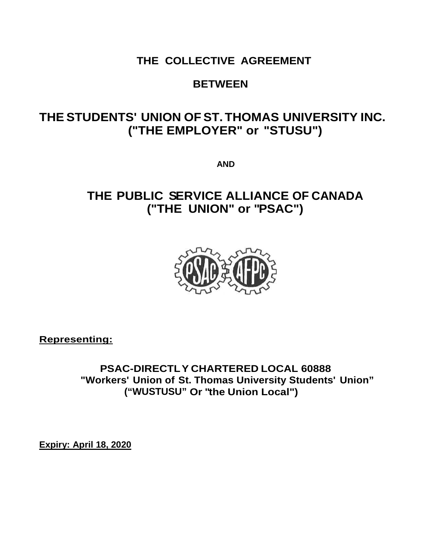# **THE COLLECTIVE AGREEMENT**

## **BETWEEN**

# **THE STUDENTS' UNION OF ST. THOMAS UNIVERSITY INC. ("THE EMPLOYER" or "STUSU")**

**AND**

# **THE PUBLIC SERVICE ALLIANCE OF CANADA ("THE UNION" or "PSAC")**



**Representing:**

**PSAC-DIRECTLY CHARTERED LOCAL 60888 "Workers' Union of St. Thomas University Students' Union" ("WUSTUSU" Or "the Union Local")**

**Expiry: April 18, 2020**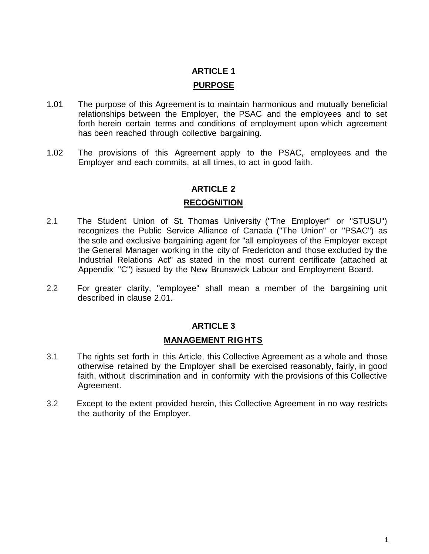# **ARTICLE 1 PURPOSE**

- 1.01 The purpose of this Agreement is to maintain harmonious and mutually beneficial relationships between the Employer, the PSAC and the employees and to set forth herein certain terms and conditions of employment upon which agreement has been reached through collective bargaining.
- 1.02 The provisions of this Agreement apply to the PSAC, employees and the Employer and each commits, at all times, to act in good faith.

#### **ARTICLE 2**

#### **RECOGNITION**

- 2.1 The Student Union of St. Thomas University ("The Employer" or "STUSU") recognizes the Public Service Alliance of Canada ("The Union" or "PSAC") as the sole and exclusive bargaining agent for "all employees of the Employer except the General Manager working in the city of Fredericton and those excluded by the Industrial Relations Act" as stated in the most current certificate (attached at Appendix "C") issued by the New Brunswick Labour and Employment Board.
- 2.2 For greater clarity, "employee" shall mean a member of the bargaining unit described in clause 2.01.

## **ARTICLE 3**

#### **MANAGEMENT RIGHTS**

- 3.1 The rights set forth in this Article, this Collective Agreement as a whole and those otherwise retained by the Employer shall be exercised reasonably, fairly, in good faith, without discrimination and in conformity with the provisions of this Collective Agreement.
- 3.2 Except to the extent provided herein, this Collective Agreement in no way restricts the authority of the Employer.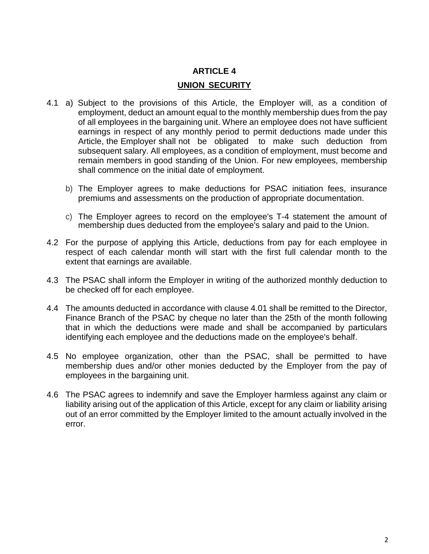#### **UNION SECURITY**

- 4.1 a) Subject to the provisions of this Article, the Employer will, as a condition of employment, deduct an amount equal to the monthly membership dues from the pay of all employees in the bargaining unit. Where an employee does not have sufficient earnings in respect of any monthly period to permit deductions made under this Article, the Employer shall not be obligated to make such deduction from subsequent salary. All employees, as a condition of employment, must become and remain members in good standing of the Union. For new employees, membership shall commence on the initial date of employment.
	- b) The Employer agrees to make deductions for PSAC initiation fees, insurance premiums and assessments on the production of appropriate documentation.
	- c) The Employer agrees to record on the employee's T-4 statement the amount of membership dues deducted from the employee's salary and paid to the Union.
- 4.2 For the purpose of applying this Article, deductions from pay for each employee in respect of each calendar month will start with the first full calendar month to the extent that earnings are available.
- 4.3 The PSAC shall inform the Employer in writing of the authorized monthly deduction to be checked off for each employee.
- 4.4 The amounts deducted in accordance with clause 4.01 shall be remitted to the Director, Finance Branch of the PSAC by cheque no later than the 25th of the month following that in which the deductions were made and shall be accompanied by particulars identifying each employee and the deductions made on the employee's behalf.
- 4.5 No employee organization, other than the PSAC, shall be permitted to have membership dues and/or other monies deducted by the Employer from the pay of employees in the bargaining unit.
- 4.6 The PSAC agrees to indemnify and save the Employer harmless against any claim or liability arising out of the application of this Article, except for any claim or liability arising out of an error committed by the Employer limited to the amount actually involved in the error.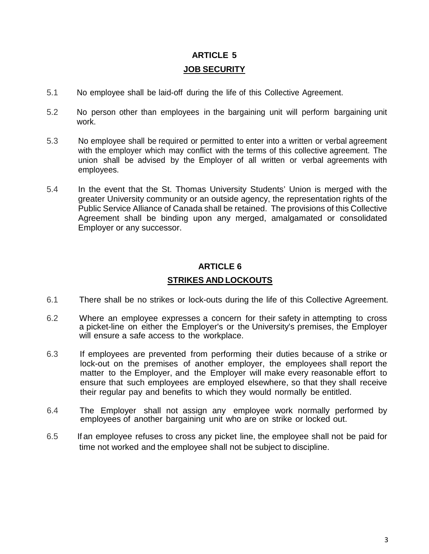## **ARTICLE 5 JOB SECURITY**

- 5.1 No employee shall be laid-off during the life of this Collective Agreement.
- 5.2 No person other than employees in the bargaining unit will perform bargaining unit work.
- 5.3 No employee shall be required or permitted to enter into a written or verbal agreement with the employer which may conflict with the terms of this collective agreement. The union shall be advised by the Employer of all written or verbal agreements with employees.
- 5.4 In the event that the St. Thomas University Students' Union is merged with the greater University community or an outside agency, the representation rights of the Public Service Alliance of Canada shall be retained. The provisions of this Collective Agreement shall be binding upon any merged, amalgamated or consolidated Employer or any successor.

#### **ARTICLE 6**

### **STRIKES AND LOCKOUTS**

- 6.1 There shall be no strikes or lock-outs during the life of this Collective Agreement.
- 6.2 Where an employee expresses a concern for their safety in attempting to cross a picket-line on either the Employer's or the University's premises, the Employer will ensure a safe access to the workplace.
- 6.3 If employees are prevented from performing their duties because of a strike or lock-out on the premises of another employer, the employees shall report the matter to the Employer, and the Employer will make every reasonable effort to ensure that such employees are employed elsewhere, so that they shall receive their regular pay and benefits to which they would normally be entitled.
- 6.4 The Employer shall not assign any employee work normally performed by employees of another bargaining unit who are on strike or locked out.
- 6.5 If an employee refuses to cross any picket line, the employee shall not be paid for time not worked and the employee shall not be subject to discipline.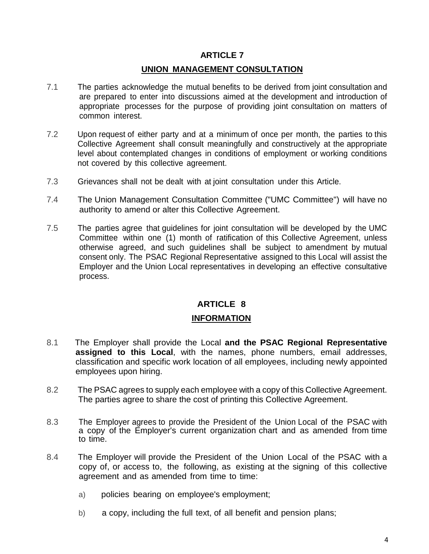#### **UNION MANAGEMENT CONSULTATION**

- 7.1 The parties acknowledge the mutual benefits to be derived from joint consultation and are prepared to enter into discussions aimed at the development and introduction of appropriate processes for the purpose of providing joint consultation on matters of common interest.
- 7.2 Upon request of either party and at a minimum of once per month, the parties to this Collective Agreement shall consult meaningfully and constructively at the appropriate level about contemplated changes in conditions of employment or working conditions not covered by this collective agreement.
- 7.3 Grievances shall not be dealt with at joint consultation under this Article.
- 7.4 The Union Management Consultation Committee ("UMC Committee") will have no authority to amend or alter this Collective Agreement.
- 7.5 The parties agree that guidelines for joint consultation will be developed by the UMC Committee within one (1) month of ratification of this Collective Agreement, unless otherwise agreed, and such guidelines shall be subject to amendment by mutual consent only. The PSAC Regional Representative assigned to this Local will assist the Employer and the Union Local representatives in developing an effective consultative process.

## **ARTICLE 8**

#### **INFORMATION**

- 8.1 The Employer shall provide the Local **and the PSAC Regional Representative assigned to this Local**, with the names, phone numbers, email addresses, classification and specific work location of all employees, including newly appointed employees upon hiring.
- 8.2 The PSAC agrees to supply each employee with a copy of this Collective Agreement. The parties agree to share the cost of printing this Collective Agreement.
- 8.3 The Employer agrees to provide the President of the Union Local of the PSAC with a copy of the Employer's current organization chart and as amended from time to time.
- 8.4 The Employer will provide the President of the Union Local of the PSAC with a copy of, or access to, the following, as existing at the signing of this collective agreement and as amended from time to time:
	- a) policies bearing on employee's employment;
	- b) a copy, including the full text, of all benefit and pension plans;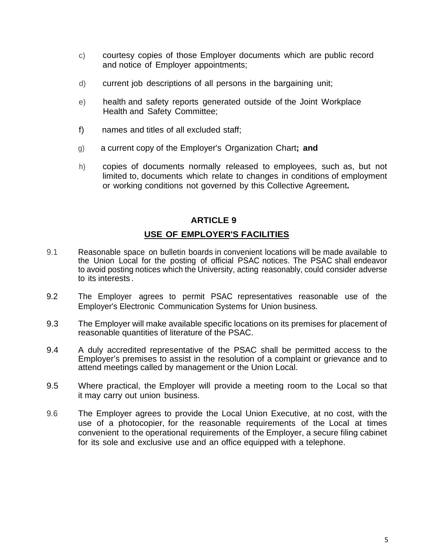- c) courtesy copies of those Employer documents which are public record and notice of Employer appointments;
- d) current job descriptions of all persons in the bargaining unit;
- e) health and safety reports generated outside of the Joint Workplace Health and Safety Committee;
- f) names and titles of all excluded staff;
- g) a current copy of the Employer's Organization Chart**; and**
- h) copies of documents normally released to employees, such as, but not limited to, documents which relate to changes in conditions of employment or working conditions not governed by this Collective Agreement**.**

## **USE OF EMPLOYER'S FACILITIES**

- 9.1 Reasonable space on bulletin boards in convenient locations will be made available to the Union Local for the posting of official PSAC notices. The PSAC shall endeavor to avoid posting notices which the University, acting reasonably, could consider adverse to its interests .
- 9.2 The Employer agrees to permit PSAC representatives reasonable use of the Employer's Electronic Communication Systems for Union business.
- 9.3 The Employer will make available specific locations on its premises for placement of reasonable quantities of literature of the PSAC.
- 9.4 A duly accredited representative of the PSAC shall be permitted access to the Employer's premises to assist in the resolution of a complaint or grievance and to attend meetings called by management or the Union Local.
- 9.5 Where practical, the Employer will provide a meeting room to the Local so that it may carry out union business.
- 9.6 The Employer agrees to provide the Local Union Executive, at no cost, with the use of a photocopier, for the reasonable requirements of the Local at times convenient to the operational requirements of the Employer, a secure filing cabinet for its sole and exclusive use and an office equipped with a telephone.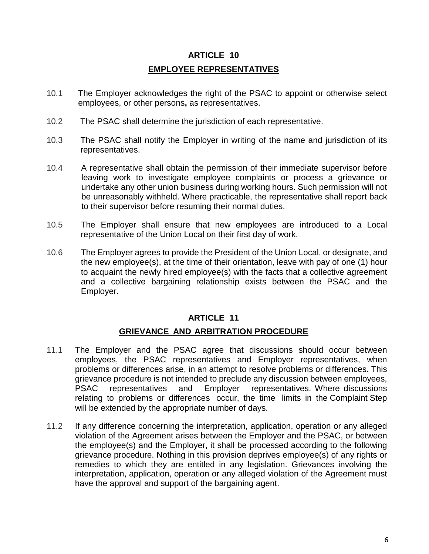# **ARTICLE 10 EMPLOYEE REPRESENTATIVES**

- 10.1 The Employer acknowledges the right of the PSAC to appoint or otherwise select employees, or other persons**,** as representatives.
- 10.2 The PSAC shall determine the jurisdiction of each representative.
- 10.3 The PSAC shall notify the Employer in writing of the name and jurisdiction of its representatives.
- 10.4 A representative shall obtain the permission of their immediate supervisor before leaving work to investigate employee complaints or process a grievance or undertake any other union business during working hours. Such permission will not be unreasonably withheld. Where practicable, the representative shall report back to their supervisor before resuming their normal duties.
- 10.5 The Employer shall ensure that new employees are introduced to a Local representative of the Union Local on their first day of work.
- 10.6 The Employer agrees to provide the President of the Union Local, or designate, and the new employee(s), at the time of their orientation, leave with pay of one (1) hour to acquaint the newly hired employee(s) with the facts that a collective agreement and a collective bargaining relationship exists between the PSAC and the Employer.

## **ARTICLE 11**

#### **GRIEVANCE AND ARBITRATION PROCEDURE**

- 11.1 The Employer and the PSAC agree that discussions should occur between employees, the PSAC representatives and Employer representatives, when problems or differences arise, in an attempt to resolve problems or differences. This grievance procedure is not intended to preclude any discussion between employees, PSAC representatives and Employer representatives. Where discussions relating to problems or differences occur, the time limits in the Complaint Step will be extended by the appropriate number of days.
- 11.2 If any difference concerning the interpretation, application, operation or any alleged violation of the Agreement arises between the Employer and the PSAC, or between the employee(s) and the Employer, it shall be processed according to the following grievance procedure. Nothing in this provision deprives employee(s) of any rights or remedies to which they are entitled in any legislation. Grievances involving the interpretation, application, operation or any alleged violation of the Agreement must have the approval and support of the bargaining agent.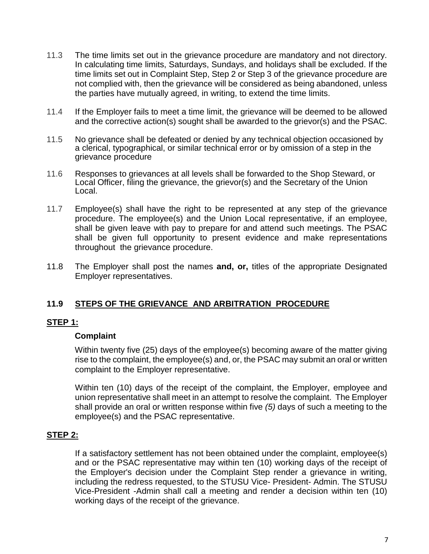- 11.3 The time limits set out in the grievance procedure are mandatory and not directory. In calculating time limits, Saturdays, Sundays, and holidays shall be excluded. If the time limits set out in Complaint Step, Step 2 or Step 3 of the grievance procedure are not complied with, then the grievance will be considered as being abandoned, unless the parties have mutually agreed, in writing, to extend the time limits.
- 11.4 If the Employer fails to meet a time limit, the grievance will be deemed to be allowed and the corrective action(s) sought shall be awarded to the grievor(s) and the PSAC.
- 11.5 No grievance shall be defeated or denied by any technical objection occasioned by a clerical, typographical, or similar technical error or by omission of a step in the grievance procedure
- 11.6 Responses to grievances at all levels shall be forwarded to the Shop Steward, or Local Officer, filing the grievance, the grievor(s) and the Secretary of the Union Local.
- 11.7 Employee(s) shall have the right to be represented at any step of the grievance procedure. The employee(s) and the Union Local representative, if an employee, shall be given leave with pay to prepare for and attend such meetings. The PSAC shall be given full opportunity to present evidence and make representations throughout the grievance procedure.
- 11.8 The Employer shall post the names **and, or,** titles of the appropriate Designated Employer representatives.

## **11.9 STEPS OF THE GRIEVANCE AND ARBITRATION PROCEDURE**

#### **STEP 1:**

#### **Complaint**

Within twenty five (25) days of the employee(s) becoming aware of the matter giving rise to the complaint, the employee(s) and, or, the PSAC may submit an oral or written complaint to the Employer representative.

Within ten (10) days of the receipt of the complaint, the Employer, employee and union representative shall meet in an attempt to resolve the complaint. The Employer shall provide an oral or written response within five *(5)* days of such a meeting to the employee(s) and the PSAC representative.

#### **STEP 2:**

If a satisfactory settlement has not been obtained under the complaint, employee(s) and or the PSAC representative may within ten (10) working days of the receipt of the Employer's decision under the Complaint Step render a grievance in writing, including the redress requested, to the STUSU Vice- President- Admin. The STUSU Vice-President -Admin shall call a meeting and render a decision within ten (10) working days of the receipt of the grievance.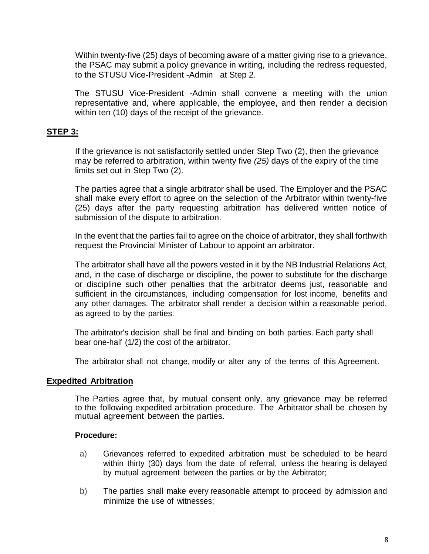Within twenty-five (25) days of becoming aware of a matter giving rise to a grievance, the PSAC may submit a policy grievance in writing, including the redress requested, to the STUSU Vice-President -Admin at Step 2.

The STUSU Vice-President -Admin shall convene a meeting with the union representative and, where applicable, the employee, and then render a decision within ten (10) days of the receipt of the grievance.

### **STEP 3:**

If the grievance is not satisfactorily settled under Step Two (2), then the grievance may be referred to arbitration, within twenty five *(25)* days of the expiry of the time limits set out in Step Two (2).

The parties agree that a single arbitrator shall be used. The Employer and the PSAC shall make every effort to agree on the selection of the Arbitrator within twenty-five (25) days after the party requesting arbitration has delivered written notice of submission of the dispute to arbitration.

In the event that the parties fail to agree on the choice of arbitrator, they shall forthwith request the Provincial Minister of Labour to appoint an arbitrator.

The arbitrator shall have all the powers vested in it by the NB Industrial Relations Act, and, in the case of discharge or discipline, the power to substitute for the discharge or discipline such other penalties that the arbitrator deems just, reasonable and sufficient in the circumstances, including compensation for lost income, benefits and any other damages. The arbitrator shall render a decision within a reasonable period, as agreed to by the parties.

The arbitrator's decision shall be final and binding on both parties. Each party shall bear one-half (1/2) the cost of the arbitrator.

The arbitrator shall not change, modify or alter any of the terms of this Agreement.

#### **Expedited Arbitration**

The Parties agree that, by mutual consent only, any grievance may be referred to the following expedited arbitration procedure. The Arbitrator shall be chosen by mutual agreement between the parties.

#### **Procedure:**

- a) Grievances referred to expedited arbitration must be scheduled to be heard within thirty (30) days from the date of referral, unless the hearing is delayed by mutual agreement between the parties or by the Arbitrator;
- b) The parties shall make every reasonable attempt to proceed by admission and minimize the use of witnesses;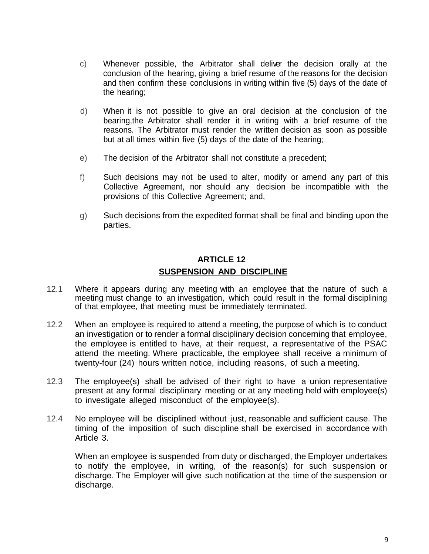- c) Whenever possible, the Arbitrator shall deliver the decision orally at the conclusion of the hearing, giving a brief resume of the reasons for the decision and then confirm these conclusions in writing within five (5) days of the date of the hearing;
- d) When it is not possible to give an oral decision at the conclusion of the bearing,the Arbitrator shall render it in writing with a brief resume of the reasons. The Arbitrator must render the written decision as soon as possible but at all times within five (5) days of the date of the hearing;
- e) The decision of the Arbitrator shall not constitute a precedent;
- f) Such decisions may not be used to alter, modify or amend any part of this Collective Agreement, nor should any decision be incompatible with the provisions of this Collective Agreement; and,
- g) Such decisions from the expedited format shall be final and binding upon the parties.

## **ARTICLE 12 SUSPENSION AND DISCIPLINE**

- 12.1 Where it appears during any meeting with an employee that the nature of such a meeting must change to an investigation, which could result in the formal disciplining of that employee, that meeting must be immediately terminated.
- 12.2 When an employee is required to attend a meeting, the purpose of which is to conduct an investigation or to render a formal disciplinary decision concerning that employee, the employee is entitled to have, at their request, a representative of the PSAC attend the meeting. Where practicable, the employee shall receive a minimum of twenty-four (24) hours written notice, including reasons, of such a meeting.
- 12.3 The employee(s) shall be advised of their right to have a union representative present at any formal disciplinary meeting or at any meeting held with employee(s) to investigate alleged misconduct of the employee(s).
- 12.4 No employee will be disciplined without just, reasonable and sufficient cause. The timing of the imposition of such discipline shall be exercised in accordance with Article 3.

When an employee is suspended from duty or discharged, the Employer undertakes to notify the employee, in writing, of the reason(s) for such suspension or discharge. The Employer will give such notification at the time of the suspension or discharge.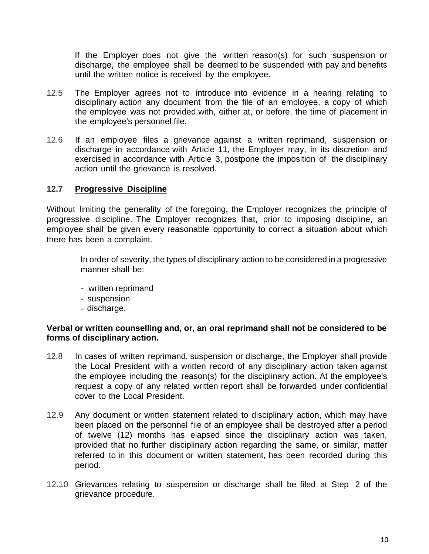If the Employer does not give the written reason(s) for such suspension or discharge, the employee shall be deemed to be suspended with pay and benefits until the written notice is received by the employee.

- 12.5 The Employer agrees not to introduce into evidence in a hearing relating to disciplinary action any document from the file of an employee, a copy of which the employee was not provided with, either at, or before, the time of placement in the employee's personnel file.
- 12.6 If an employee files a grievance against a written reprimand, suspension or discharge in accordance with Article 11, the Employer may, in its discretion and exercised in accordance with Article 3, postpone the imposition of the disciplinary action until the grievance is resolved.

#### **12.7 Progressive Discipline**

Without limiting the generality of the foregoing, the Employer recognizes the principle of progressive discipline. The Employer recognizes that, prior to imposing discipline, an employee shall be given every reasonable opportunity to correct a situation about which there has been a complaint.

In order of severity, the types of disciplinary action to be considered in a progressive manner shall be:

- written reprimand
- suspension
- discharge.

#### **Verbal or written counselling and, or, an oral reprimand shall not be considered to be forms of disciplinary action.**

- 12.8 In cases of written reprimand, suspension or discharge, the Employer shall provide the Local President with a written record of any disciplinary action taken against the employee including the reason(s) for the disciplinary action. At the employee's request a copy of any related written report shall be forwarded under confidential cover to the Local President.
- 12.9 Any document or written statement related to disciplinary action, which may have been placed on the personnel file of an employee shall be destroyed after a period of twelve (12) months has elapsed since the disciplinary action was taken, provided that no further disciplinary action regarding the same, or similar, matter referred to in this document or written statement, has been recorded during this period.
- 12.10 Grievances relating to suspension or discharge shall be filed at Step 2 of the grievance procedure.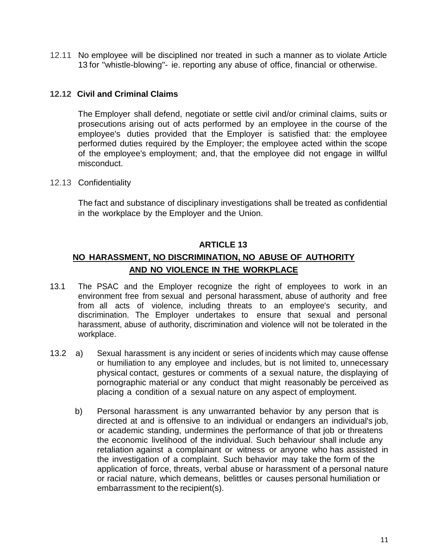12.11 No employee will be disciplined nor treated in such a manner as to violate Article 13 for "whistle-blowing"- ie. reporting any abuse of office, financial or otherwise.

## **12.12 Civil and Criminal Claims**

The Employer shall defend, negotiate or settle civil and/or criminal claims, suits or prosecutions arising out of acts performed by an employee in the course of the employee's duties provided that the Employer is satisfied that: the employee performed duties required by the Employer; the employee acted within the scope of the employee's employment; and, that the employee did not engage in willful misconduct.

12.13 Confidentiality

The fact and substance of disciplinary investigations shall be treated as confidential in the workplace by the Employer and the Union.

#### **ARTICLE 13**

## **NO HARASSMENT, NO DISCRIMINATION, NO ABUSE OF AUTHORITY AND NO VIOLENCE IN THE WORKPLACE**

- 13.1 The PSAC and the Employer recognize the right of employees to work in an environment free from sexual and personal harassment, abuse of authority and free from all acts of violence, including threats to an employee's security, and discrimination. The Employer undertakes to ensure that sexual and personal harassment, abuse of authority, discrimination and violence will not be tolerated in the workplace.
- 13.2 a) Sexual harassment is any incident or series of incidents which may cause offense or humiliation to any employee and includes, but is not limited to, unnecessary physical contact, gestures or comments of a sexual nature, the displaying of pornographic material or any conduct that might reasonably be perceived as placing a condition of a sexual nature on any aspect of employment.
	- b) Personal harassment is any unwarranted behavior by any person that is directed at and is offensive to an individual or endangers an individual's job, or academic standing, undermines the performance of that job or threatens the economic livelihood of the individual. Such behaviour shall include any retaliation against a complainant or witness or anyone who has assisted in the investigation of a complaint. Such behavior may take the form of the application of force, threats, verbal abuse or harassment of a personal nature or racial nature, which demeans, belittles or causes personal humiliation or embarrassment to the recipient(s).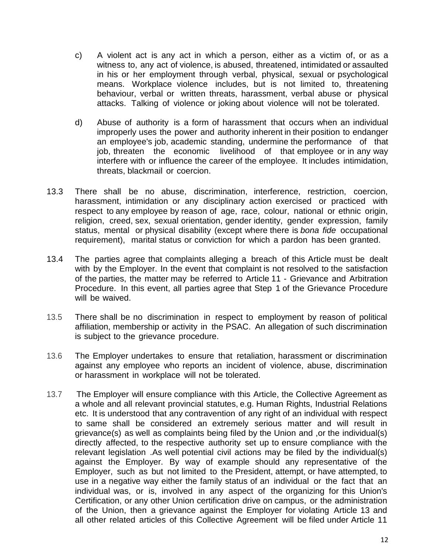- c) A violent act is any act in which a person, either as a victim of, or as a witness to, any act of violence, is abused, threatened, intimidated or assaulted in his or her employment through verbal, physical, sexual or psychological means. Workplace violence includes, but is not limited to, threatening behaviour, verbal or written threats, harassment, verbal abuse or physical attacks. Talking of violence or joking about violence will not be tolerated.
- d) Abuse of authority is a form of harassment that occurs when an individual improperly uses the power and authority inherent in their position to endanger an employee's job, academic standing, undermine the performance of that job, threaten the economic livelihood of that employee or in any way interfere with or influence the career of the employee. It includes intimidation, threats, blackmail or coercion.
- 13.3 There shall be no abuse, discrimination, interference, restriction, coercion, harassment, intimidation or any disciplinary action exercised or practiced with respect to any employee by reason of age, race, colour, national or ethnic origin, religion, creed, sex, sexual orientation, gender identity, gender expression, family status, mental or physical disability (except where there is *bona fide* occupational requirement), marital status or conviction for which a pardon has been granted.
- 13.4 The parties agree that complaints alleging a breach of this Article must be dealt with by the Employer. In the event that complaint is not resolved to the satisfaction of the parties, the matter may be referred to Article 11 - Grievance and Arbitration Procedure. In this event, all parties agree that Step 1 of the Grievance Procedure will be waived.
- 13.5 There shall be no discrimination in respect to employment by reason of political affiliation, membership or activity in the PSAC. An allegation of such discrimination is subject to the grievance procedure.
- 13.6 The Employer undertakes to ensure that retaliation, harassment or discrimination against any employee who reports an incident of violence, abuse, discrimination or harassment in workplace will not be tolerated.
- 13.7 The Employer will ensure compliance with this Article, the Collective Agreement as a whole and all relevant provincial statutes, e.g. Human Rights, Industrial Relations etc. It is understood that any contravention of any right of an individual with respect to same shall be considered an extremely serious matter and will result in grievance(s) as well as complaints being filed by the Union and ,or the individual(s) directly affected, to the respective authority set up to ensure compliance with the relevant legislation .As well potential civil actions may be filed by the individual(s) against the Employer. By way of example should any representative of the Employer, such as but not limited to the President, attempt, or have attempted, to use in a negative way either the family status of an individual or the fact that an individual was, or is, involved in any aspect of the organizing for this Union's Certification, or any other Union certification drive on campus, or the administration of the Union, then a grievance against the Employer for violating Article 13 and all other related articles of this Collective Agreement will be filed under Article 11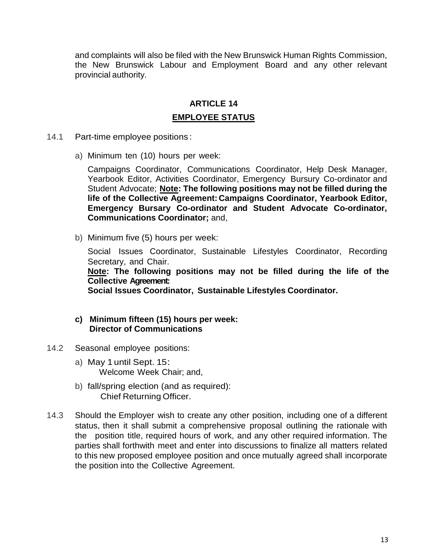and complaints will also be filed with the New Brunswick Human Rights Commission, the New Brunswick Labour and Employment Board and any other relevant provincial authority.

## **ARTICLE 14 EMPLOYEE STATUS**

- 14.1 Part-time employee positions :
	- a) Minimum ten (10) hours per week:

Campaigns Coordinator, Communications Coordinator, Help Desk Manager, Yearbook Editor, Activities Coordinator, Emergency Bursury Co-ordinator and Student Advocate; **Note: The following positions may not be filled during the life of the Collective Agreement: Campaigns Coordinator, Yearbook Editor, Emergency Bursary Co-ordinator and Student Advocate Co-ordinator, Communications Coordinator;** and,

b) Minimum five (5) hours per week:

Social Issues Coordinator, Sustainable Lifestyles Coordinator, Recording Secretary, and Chair.

**Note: The following positions may not be filled during the life of the Collective Agreement:**

**Social Issues Coordinator, Sustainable Lifestyles Coordinator.**

#### **c) Minimum fifteen (15) hours per week: Director of Communications**

- 14.2 Seasonal employee positions:
	- a) May 1 until Sept. 15: Welcome Week Chair; and,
	- b) fall/spring election (and as required): Chief Returning Officer.
- 14.3 Should the Employer wish to create any other position, including one of a different status, then it shall submit a comprehensive proposal outlining the rationale with the position title, required hours of work, and any other required information. The parties shall forthwith meet and enter into discussions to finalize all matters related to this new proposed employee position and once mutually agreed shall incorporate the position into the Collective Agreement.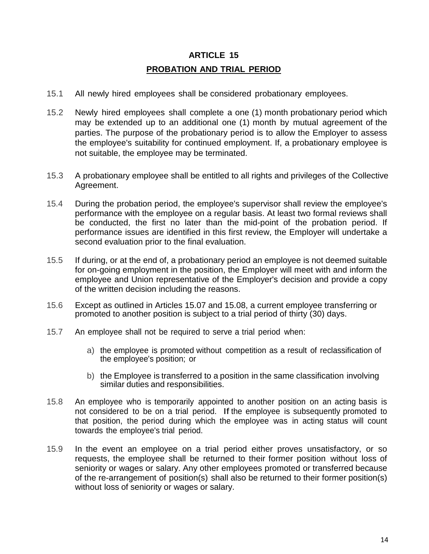## **ARTICLE 15 PROBATION AND TRIAL PERIOD**

- 15.1 All newly hired employees shall be considered probationary employees.
- 15.2 Newly hired employees shall complete a one (1) month probationary period which may be extended up to an additional one (1) month by mutual agreement of the parties. The purpose of the probationary period is to allow the Employer to assess the employee's suitability for continued employment. If, a probationary employee is not suitable, the employee may be terminated.
- 15.3 A probationary employee shall be entitled to all rights and privileges of the Collective Agreement.
- 15.4 During the probation period, the employee's supervisor shall review the employee's performance with the employee on a regular basis. At least two formal reviews shall be conducted, the first no later than the mid-point of the probation period. If performance issues are identified in this first review, the Employer will undertake a second evaluation prior to the final evaluation.
- 15.5 If during, or at the end of, a probationary period an employee is not deemed suitable for on-going employment in the position, the Employer will meet with and inform the employee and Union representative of the Employer's decision and provide a copy of the written decision including the reasons.
- 15.6 Except as outlined in Articles 15.07 and 15.08, a current employee transferring or promoted to another position is subject to a trial period of thirty (30) days.
- 15.7 An employee shall not be required to serve a trial period when:
	- a) the employee is promoted without competition as a result of reclassification of the employee's position; or
	- b) the Employee is transferred to a position in the same classification involving similar duties and responsibilities.
- 15.8 An employee who is temporarily appointed to another position on an acting basis is not considered to be on a trial period. If the employee is subsequently promoted to that position, the period during which the employee was in acting status will count towards the employee's trial period.
- 15.9 In the event an employee on a trial period either proves unsatisfactory, or so requests, the employee shall be returned to their former position without loss of seniority or wages or salary. Any other employees promoted or transferred because of the re-arrangement of position(s) shall also be returned to their former position(s) without loss of seniority or wages or salary.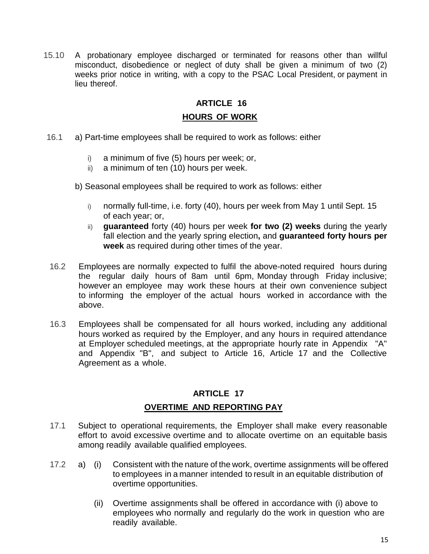15.10 A probationary employee discharged or terminated for reasons other than willful misconduct, disobedience or neglect of duty shall be given a minimum of two (2) weeks prior notice in writing, with a copy to the PSAC Local President, or payment in lieu thereof.

#### **ARTICLE 16**

#### **HOURS OF WORK**

- 16.1 a) Part-time employees shall be required to work as follows: either
	- i) a minimum of five (5) hours per week; or,
	- ii) a minimum of ten (10) hours per week.
	- b) Seasonal employees shall be required to work as follows: either
		- i) normally full-time, i.e. forty (40), hours per week from May 1 until Sept. 15 of each year; or,
		- ii) **guaranteed** forty (40) hours per week **for two (2) weeks** during the yearly fall election and the yearly spring election**,** and **guaranteed forty hours per week** as required during other times of the year.
- 16.2 Employees are normally expected to fulfil the above-noted required hours during the regular daily hours of 8am until 6pm, Monday through Friday inclusive; however an employee may work these hours at their own convenience subject to informing the employer of the actual hours worked in accordance with the above.
- 16.3 Employees shall be compensated for all hours worked, including any additional hours worked as required by the Employer, and any hours in required attendance at Employer scheduled meetings, at the appropriate hourly rate in Appendix "A" and Appendix "B", and subject to Article 16, Article 17 and the Collective Agreement as a whole.

#### **ARTICLE 17**

#### **OVERTIME AND REPORTING PAY**

- 17.1 Subject to operational requirements, the Employer shall make every reasonable effort to avoid excessive overtime and to allocate overtime on an equitable basis among readily available qualified employees.
- 17.2 a) (i) Consistent with the nature of the work, overtime assignments will be offered to employees in a manner intended to result in an equitable distribution of overtime opportunities.
	- (ii) Overtime assignments shall be offered in accordance with (i) above to employees who normally and regularly do the work in question who are readily available.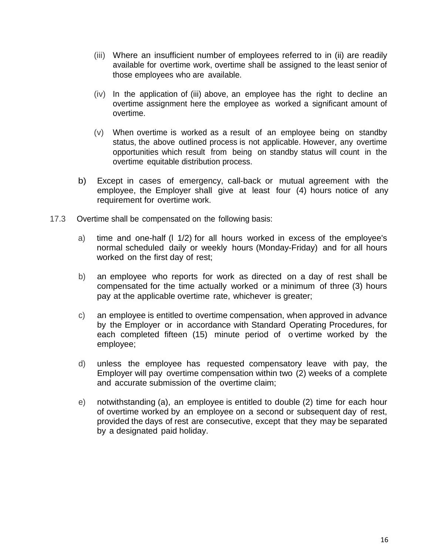- (iii) Where an insufficient number of employees referred to in (ii) are readily available for overtime work, overtime shall be assigned to the least senior of those employees who are available.
- (iv) In the application of (iii) above, an employee has the right to decline an overtime assignment here the employee as worked a significant amount of overtime.
- (v) When overtime is worked as a result of an employee being on standby status, the above outlined process is not applicable. However, any overtime opportunities which result from being on standby status will count in the overtime equitable distribution process.
- b) Except in cases of emergency, call-back or mutual agreement with the employee, the Employer shall give at least four (4) hours notice of any requirement for overtime work.
- 17.3 Overtime shall be compensated on the following basis:
	- a) time and one-half (l 1/2) for all hours worked in excess of the employee's normal scheduled daily or weekly hours (Monday-Friday) and for all hours worked on the first day of rest;
	- b) an employee who reports for work as directed on a day of rest shall be compensated for the time actually worked or a minimum of three (3) hours pay at the applicable overtime rate, whichever is greater;
	- c) an employee is entitled to overtime compensation, when approved in advance by the Employer or in accordance with Standard Operating Procedures, for each completed fifteen (15) minute period of o vertime worked by the employee;
	- d) unless the employee has requested compensatory leave with pay, the Employer will pay overtime compensation within two (2) weeks of a complete and accurate submission of the overtime claim;
	- e) notwithstanding (a), an employee is entitled to double (2) time for each hour of overtime worked by an employee on a second or subsequent day of rest, provided the days of rest are consecutive, except that they may be separated by a designated paid holiday.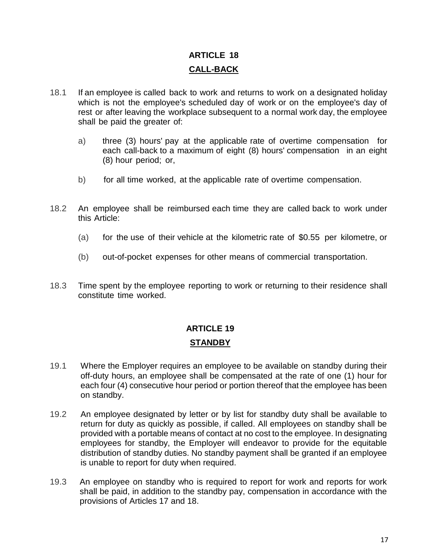# **ARTICLE 18 CALL-BACK**

- 18.1 If an employee is called back to work and returns to work on a designated holiday which is not the employee's scheduled day of work or on the employee's day of rest or after leaving the workplace subsequent to a normal work day, the employee shall be paid the greater of:
	- a) three (3) hours' pay at the applicable rate of overtime compensation for each call-back to a maximum of eight (8) hours' compensation in an eight (8) hour period; or,
	- b) for all time worked, at the applicable rate of overtime compensation.
- 18.2 An employee shall be reimbursed each time they are called back to work under this Article:
	- (a) for the use of their vehicle at the kilometric rate of \$0.55 per kilometre, or
	- (b) out-of-pocket expenses for other means of commercial transportation.
- 18.3 Time spent by the employee reporting to work or returning to their residence shall constitute time worked.

## **ARTICLE 19 STANDBY**

- 19.1 Where the Employer requires an employee to be available on standby during their off-duty hours, an employee shall be compensated at the rate of one (1) hour for each four (4) consecutive hour period or portion thereof that the employee has been on standby.
- 19.2 An employee designated by letter or by list for standby duty shall be available to return for duty as quickly as possible, if called. All employees on standby shall be provided with a portable means of contact at no cost to the employee. In designating employees for standby, the Employer will endeavor to provide for the equitable distribution of standby duties. No standby payment shall be granted if an employee is unable to report for duty when required.
- 19.3 An employee on standby who is required to report for work and reports for work shall be paid, in addition to the standby pay, compensation in accordance with the provisions of Articles 17 and 18.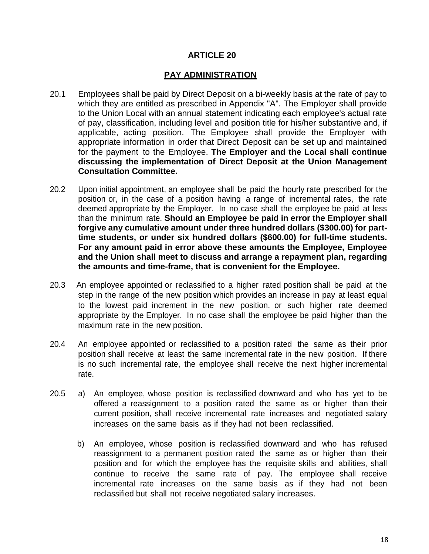#### **PAY ADMINISTRATION**

- 20.1 Employees shall be paid by Direct Deposit on a bi-weekly basis at the rate of pay to which they are entitled as prescribed in Appendix "A". The Employer shall provide to the Union Local with an annual statement indicating each employee's actual rate of pay, classification, including level and position title for his/her substantive and, if applicable, acting position. The Employee shall provide the Employer with appropriate information in order that Direct Deposit can be set up and maintained for the payment to the Employee. **The Employer and the Local shall continue discussing the implementation of Direct Deposit at the Union Management Consultation Committee.**
- 20.2 Upon initial appointment, an employee shall be paid the hourly rate prescribed for the position or, in the case of a position having a range of incremental rates, the rate deemed appropriate by the Employer. In no case shall the employee be paid at less than the minimum rate. **Should an Employee be paid in error the Employer shall forgive any cumulative amount under three hundred dollars (\$300.00) for parttime students, or under six hundred dollars (\$600.00) for full-time students. For any amount paid in error above these amounts the Employee, Employee and the Union shall meet to discuss and arrange a repayment plan, regarding the amounts and time-frame, that is convenient for the Employee.**
- 20.3 An employee appointed or reclassified to a higher rated position shall be paid at the step in the range of the new position which provides an increase in pay at least equal to the lowest paid increment in the new position, or such higher rate deemed appropriate by the Employer. In no case shall the employee be paid higher than the maximum rate in the new position.
- 20.4 An employee appointed or reclassified to a position rated the same as their prior position shall receive at least the same incremental rate in the new position. If there is no such incremental rate, the employee shall receive the next higher incremental rate.
- 20.5 a) An employee, whose position is reclassified downward and who has yet to be offered a reassignment to a position rated the same as or higher than their current position, shall receive incremental rate increases and negotiated salary increases on the same basis as if they had not been reclassified.
	- b) An employee, whose position is reclassified downward and who has refused reassignment to a permanent position rated the same as or higher than their position and for which the employee has the requisite skills and abilities, shall continue to receive the same rate of pay. The employee shall receive incremental rate increases on the same basis as if they had not been reclassified but shall not receive negotiated salary increases.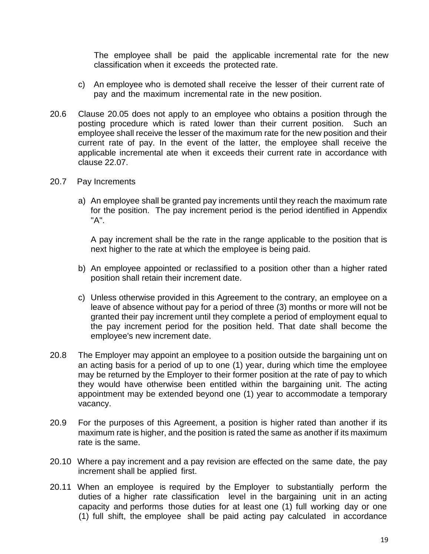The employee shall be paid the applicable incremental rate for the new classification when it exceeds the protected rate.

- c) An employee who is demoted shall receive the lesser of their current rate of pay and the maximum incremental rate in the new position.
- 20.6 Clause 20.05 does not apply to an employee who obtains a position through the posting procedure which is rated lower than their current position. Such an employee shall receive the lesser of the maximum rate for the new position and their current rate of pay. In the event of the latter, the employee shall receive the applicable incremental ate when it exceeds their current rate in accordance with clause 22.07.
- 20.7 Pay Increments
	- a) An employee shall be granted pay increments until they reach the maximum rate for the position. The pay increment period is the period identified in Appendix "A".

A pay increment shall be the rate in the range applicable to the position that is next higher to the rate at which the employee is being paid.

- b) An employee appointed or reclassified to a position other than a higher rated position shall retain their increment date.
- c) Unless otherwise provided in this Agreement to the contrary, an employee on a leave of absence without pay for a period of three (3) months or more will not be granted their pay increment until they complete a period of employment equal to the pay increment period for the position held. That date shall become the employee's new increment date.
- 20.8 The Employer may appoint an employee to a position outside the bargaining unt on an acting basis for a period of up to one (1) year, during which time the employee may be returned by the Employer to their former position at the rate of pay to which they would have otherwise been entitled within the bargaining unit. The acting appointment may be extended beyond one (1) year to accommodate a temporary vacancy.
- 20.9 For the purposes of this Agreement, a position is higher rated than another if its maximum rate is higher, and the position is rated the same as another if its maximum rate is the same.
- 20.10 Where a pay increment and a pay revision are effected on the same date, the pay increment shall be applied first.
- 20.11 When an employee is required by the Employer to substantially perform the duties of a higher rate classification level in the bargaining unit in an acting capacity and performs those duties for at least one (1) full working day or one (1) full shift, the employee shall be paid acting pay calculated in accordance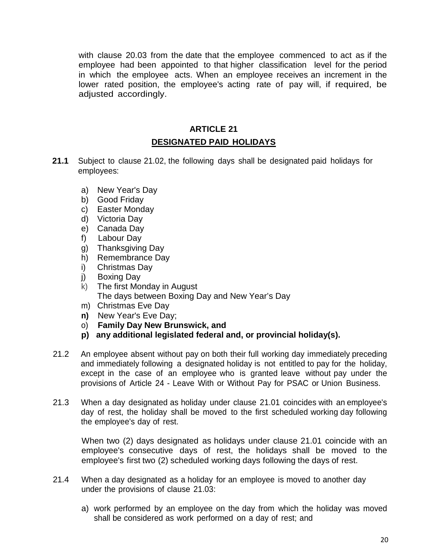with clause 20.03 from the date that the employee commenced to act as if the employee had been appointed to that higher classification level for the period in which the employee acts. When an employee receives an increment in the lower rated position, the employee's acting rate of pay will, if required, be adjusted accordingly.

# **ARTICLE 21**

## **DESIGNATED PAID HOLIDAYS**

- **21.1** Subject to clause 21.02, the following days shall be designated paid holidays for employees:
	- a) New Year's Day
	- b) Good Friday
	- c) Easter Monday
	- d) Victoria Day
	- e) Canada Day
	- f) Labour Day
	- g) Thanksgiving Day
	- h) Remembrance Day
	- i) Christmas Day
	- j) Boxing Day
	- k) The first Monday in August The days between Boxing Day and New Year's Day
	- m) Christmas Eve Day
	- **n)** New Year's Eve Day;
	- o) **Family Day New Brunswick, and**
	- **p) any additional legislated federal and, or provincial holiday(s).**
- 21.2 An employee absent without pay on both their full working day immediately preceding and immediately following a designated holiday is not entitled to pay for the holiday, except in the case of an employee who is granted leave without pay under the provisions of Article 24 - Leave With or Without Pay for PSAC or Union Business.
- 21.3 When a day designated as holiday under clause 21.01 coincides with an employee's day of rest, the holiday shall be moved to the first scheduled working day following the employee's day of rest.

When two (2) days designated as holidays under clause 21.01 coincide with an employee's consecutive days of rest, the holidays shall be moved to the employee's first two (2) scheduled working days following the days of rest.

- 21.4 When a day designated as a holiday for an employee is moved to another day under the provisions of clause 21.03:
	- a) work performed by an employee on the day from which the holiday was moved shall be considered as work performed on a day of rest; and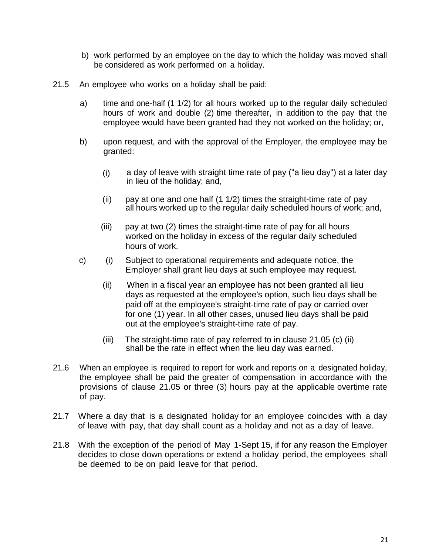- b) work performed by an employee on the day to which the holiday was moved shall be considered as work performed on a holiday.
- 21.5 An employee who works on a holiday shall be paid:
	- a) time and one-half (1 1/2) for all hours worked up to the regular daily scheduled hours of work and double (2) time thereafter, in addition to the pay that the employee would have been granted had they not worked on the holiday; or,
	- b) upon request, and with the approval of the Employer, the employee may be granted:
		- (i) a day of leave with straight time rate of pay ("a lieu day") at a later day in lieu of the holiday; and,
		- (ii) pay at one and one half (1 1/2) times the straight-time rate of pay all hours worked up to the regular daily scheduled hours of work; and,
		- (iii) pay at two (2) times the straight-time rate of pay for all hours worked on the holiday in excess of the regular daily scheduled hours of work.
	- c) (i) Subject to operational requirements and adequate notice, the Employer shall grant lieu days at such employee may request.
		- (ii) When in a fiscal year an employee has not been granted all lieu days as requested at the employee's option, such lieu days shall be paid off at the employee's straight-time rate of pay or carried over for one (1) year. In all other cases, unused lieu days shall be paid out at the employee's straight-time rate of pay.
		- (iii) The straight-time rate of pay referred to in clause 21.05 (c) (ii) shall be the rate in effect when the lieu day was earned.
- 21.6 When an employee is required to report for work and reports on a designated holiday, the employee shall be paid the greater of compensation in accordance with the provisions of clause 21.05 or three (3) hours pay at the applicable overtime rate of pay.
- 21.7 Where a day that is a designated holiday for an employee coincides with a day of leave with pay, that day shall count as a holiday and not as a day of leave.
- 21.8 With the exception of the period of May 1-Sept 15, if for any reason the Employer decides to close down operations or extend a holiday period, the employees shall be deemed to be on paid leave for that period.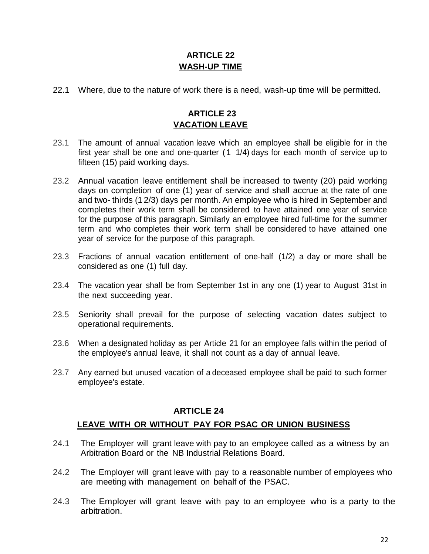## **ARTICLE 22 WASH-UP TIME**

22.1 Where, due to the nature of work there is a need, wash-up time will be permitted.

## **ARTICLE 23 VACATION LEAVE**

- 23.1 The amount of annual vacation leave which an employee shall be eligible for in the first year shall be one and one-quarter (1 1/4) days for each month of service up to fifteen (15) paid working days.
- 23.2 Annual vacation leave entitlement shall be increased to twenty (20) paid working days on completion of one (1) year of service and shall accrue at the rate of one and two- thirds (1 2/3) days per month. An employee who is hired in September and completes their work term shall be considered to have attained one year of service for the purpose of this paragraph. Similarly an employee hired full-time for the summer term and who completes their work term shall be considered to have attained one year of service for the purpose of this paragraph.
- 23.3 Fractions of annual vacation entitlement of one-half (1/2) a day or more shall be considered as one (1) full day.
- 23.4 The vacation year shall be from September 1st in any one (1) year to August 31st in the next succeeding year.
- 23.5 Seniority shall prevail for the purpose of selecting vacation dates subject to operational requirements.
- 23.6 When a designated holiday as per Article 21 for an employee falls within the period of the employee's annual leave, it shall not count as a day of annual leave.
- 23.7 Any earned but unused vacation of a deceased employee shall be paid to such former employee's estate.

## **ARTICLE 24**

#### **LEAVE WITH OR WITHOUT PAY FOR PSAC OR UNION BUSINESS**

- 24.1 The Employer will grant leave with pay to an employee called as a witness by an Arbitration Board or the NB Industrial Relations Board.
- 24.2 The Employer will grant leave with pay to a reasonable number of employees who are meeting with management on behalf of the PSAC.
- 24.3 The Employer will grant leave with pay to an employee who is a party to the arbitration.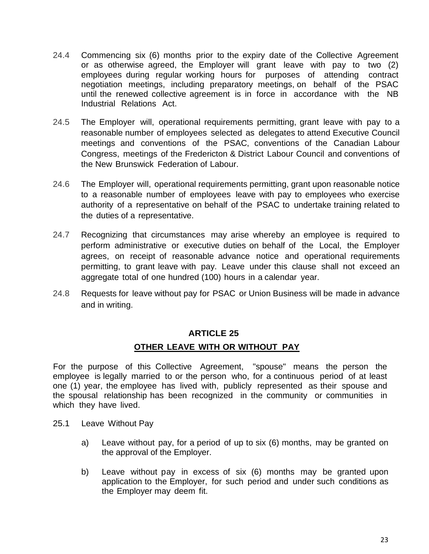- 24.4 Commencing six (6) months prior to the expiry date of the Collective Agreement or as otherwise agreed, the Employer will grant leave with pay to two (2) employees during regular working hours for purposes of attending contract negotiation meetings, including preparatory meetings, on behalf of the PSAC until the renewed collective agreement is in force in accordance with the NB Industrial Relations Act.
- 24.5 The Employer will, operational requirements permitting, grant leave with pay to a reasonable number of employees selected as delegates to attend Executive Council meetings and conventions of the PSAC, conventions of the Canadian Labour Congress, meetings of the Fredericton & District Labour Council and conventions of the New Brunswick Federation of Labour.
- 24.6 The Employer will, operational requirements permitting, grant upon reasonable notice to a reasonable number of employees leave with pay to employees who exercise authority of a representative on behalf of the PSAC to undertake training related to the duties of a representative.
- 24.7 Recognizing that circumstances may arise whereby an employee is required to perform administrative or executive duties on behalf of the Local, the Employer agrees, on receipt of reasonable advance notice and operational requirements permitting, to grant leave with pay. Leave under this clause shall not exceed an aggregate total of one hundred (100) hours in a calendar year.
- 24.8 Requests for leave without pay for PSAC or Union Business will be made in advance and in writing.

#### **OTHER LEAVE WITH OR WITHOUT PAY**

For the purpose of this Collective Agreement, "spouse" means the person the employee is legally married to or the person who, for a continuous period of at least one (1) year, the employee has lived with, publicly represented as their spouse and the spousal relationship has been recognized in the community or communities in which they have lived.

- 25.1 Leave Without Pay
	- a) Leave without pay, for a period of up to six (6) months, may be granted on the approval of the Employer.
	- b) Leave without pay in excess of six (6) months may be granted upon application to the Employer, for such period and under such conditions as the Employer may deem fit.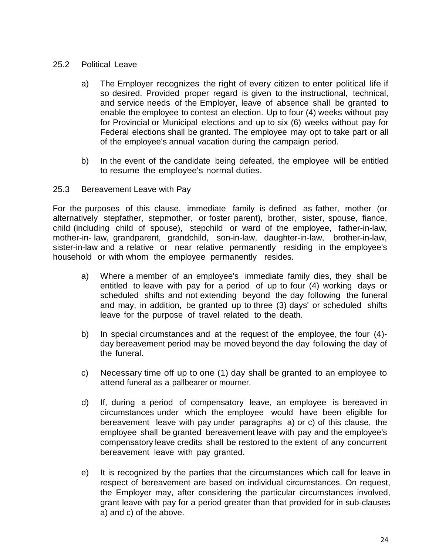#### 25.2 Political Leave

- a) The Employer recognizes the right of every citizen to enter political life if so desired. Provided proper regard is given to the instructional, technical, and service needs of the Employer, leave of absence shall be granted to enable the employee to contest an election. Up to four (4) weeks without pay for Provincial or Municipal elections and up to six (6) weeks without pay for Federal elections shall be granted. The employee may opt to take part or all of the employee's annual vacation during the campaign period.
- b) In the event of the candidate being defeated, the employee will be entitled to resume the employee's normal duties.

#### 25.3 Bereavement Leave with Pay

For the purposes of this clause, immediate family is defined as father, mother (or alternatively stepfather, stepmother, or foster parent), brother, sister, spouse, fiance, child (including child of spouse), stepchild or ward of the employee, father-in-law, mother-in- law, grandparent, grandchild, son-in-law, daughter-in-law, brother-in-law, sister-in-law and a relative or near relative permanently residing in the employee's household or with whom the employee permanently resides.

- a) Where a member of an employee's immediate family dies, they shall be entitled to leave with pay for a period of up to four (4) working days or scheduled shifts and not extending beyond the day following the funeral and may, in addition, be granted up to three (3) days' or scheduled shifts leave for the purpose of travel related to the death.
- b) In special circumstances and at the request of the employee, the four (4) day bereavement period may be moved beyond the day following the day of the funeral.
- c) Necessary time off up to one (1) day shall be granted to an employee to attend funeral as a pallbearer or mourner.
- d) If, during a period of compensatory leave, an employee is bereaved in circumstances under which the employee would have been eligible for bereavement leave with pay under paragraphs a) or c) of this clause, the employee shall be granted bereavement leave with pay and the employee's compensatory leave credits shall be restored to the extent of any concurrent bereavement leave with pay granted.
- e) It is recognized by the parties that the circumstances which call for leave in respect of bereavement are based on individual circumstances. On request, the Employer may, after considering the particular circumstances involved, grant leave with pay for a period greater than that provided for in sub-clauses a) and c) of the above.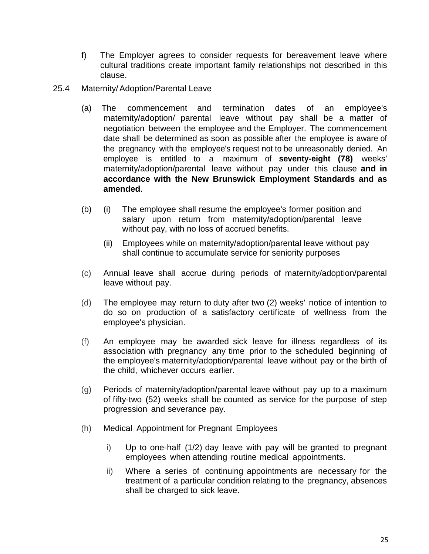- f) The Employer agrees to consider requests for bereavement leave where cultural traditions create important family relationships not described in this clause.
- 25.4 Maternity/Adoption/Parental Leave
	- (a) The commencement and termination dates of an employee's maternity/adoption/ parental leave without pay shall be a matter of negotiation between the employee and the Employer. The commencement date shall be determined as soon as possible after the employee is aware of the pregnancy with the employee's request not to be unreasonably denied. An employee is entitled to a maximum of **seventy-eight (78)** weeks' maternity/adoption/parental leave without pay under this clause **and in accordance with the New Brunswick Employment Standards and as amended**.
	- (b) (i) The employee shall resume the employee's former position and salary upon return from maternity/adoption/parental leave without pay, with no loss of accrued benefits.
		- (ii) Employees while on maternity/adoption/parental leave without pay shall continue to accumulate service for seniority purposes
	- (c) Annual leave shall accrue during periods of maternity/adoption/parental leave without pay.
	- (d) The employee may return to duty after two (2) weeks' notice of intention to do so on production of a satisfactory certificate of wellness from the employee's physician.
	- (f) An employee may be awarded sick leave for illness regardless of its association with pregnancy any time prior to the scheduled beginning of the employee's maternity/adoption/parental leave without pay or the birth of the child, whichever occurs earlier.
	- (g) Periods of maternity/adoption/parental leave without pay up to a maximum of fifty-two (52) weeks shall be counted as service for the purpose of step progression and severance pay.
	- (h) Medical Appointment for Pregnant Employees
		- i) Up to one-half (1/2) day leave with pay will be granted to pregnant employees when attending routine medical appointments.
		- ii) Where a series of continuing appointments are necessary for the treatment of a particular condition relating to the pregnancy, absences shall be charged to sick leave.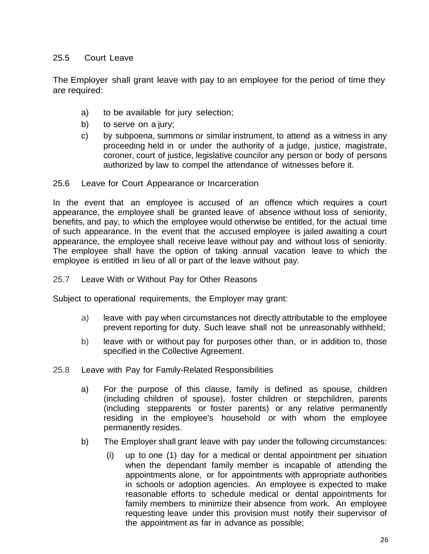## 25.5 Court Leave

The Employer shall grant leave with pay to an employee for the period of time they are required:

- a) to be available for jury selection;
- b) to serve on a jury;
- c) by subpoena, summons or similar instrument, to attend as a witness in any proceeding held in or under the authority of a judge, justice, magistrate, coroner, court of justice, legislative councilor any person or body of persons authorized by law to compel the attendance of witnesses before it.

25.6 Leave for Court Appearance or Incarceration

In the event that an employee is accused of an offence which requires a court appearance, the employee shall be granted leave of absence without loss of seniority, benefits, and pay, to which the employee would otherwise be entitled, for the actual time of such appearance. In the event that the accused employee is jailed awaiting a court appearance, the employee shall receive leave without pay and without loss of seniority. The employee shall have the option of taking annual vacation leave to which the employee is entitled in lieu of all or part of the leave without pay.

25.7 Leave With or Without Pay for Other Reasons

Subject to operational requirements, the Employer may grant:

- a) leave with pay when circumstances not directly attributable to the employee prevent reporting for duty. Such leave shall not be unreasonably withheld;
- b) leave with or without pay for purposes other than, or in addition to, those specified in the Collective Agreement.
- 25.8 Leave with Pay for Family-Related Responsibilities
	- a) For the purpose of this clause, family is defined as spouse, children (including children of spouse), foster children or stepchildren, parents (including stepparents or foster parents) or any relative permanently residing in the employee's household or with whom the employee permanently resides.
	- b) The Employer shall grant leave with pay under the following circumstances:
		- (i) up to one (1) day for a medical or dental appointment per situation when the dependant family member is incapable of attending the appointments alone, or for appointments with appropriate authorities in schools or adoption agencies. An employee is expected to make reasonable efforts to schedule medical or dental appointments for family members to minimize their absence from work. An employee requesting leave under this provision must notify their supervisor of the appointment as far in advance as possible;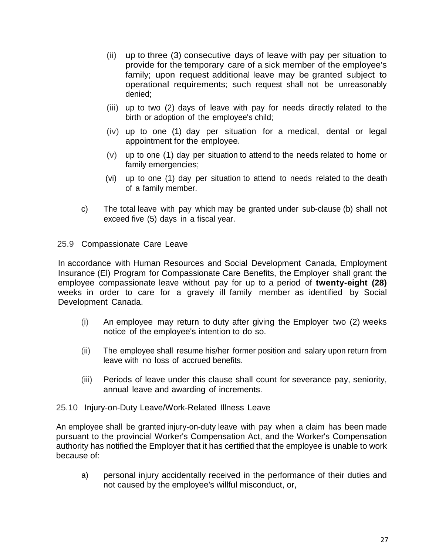- (ii) up to three (3) consecutive days of leave with pay per situation to provide for the temporary care of a sick member of the employee's family; upon request additional leave may be granted subject to operational requirements; such request shall not be unreasonably denied;
- (iii) up to two (2) days of leave with pay for needs directly related to the birth or adoption of the employee's child;
- (iv) up to one (1) day per situation for a medical, dental or legal appointment for the employee.
- (v) up to one (1) day per situation to attend to the needs related to home or family emergencies;
- (vi) up to one (1) day per situation to attend to needs related to the death of a family member.
- c) The total leave with pay which may be granted under sub-clause (b) shall not exceed five (5) days in a fiscal year.
- 25.9 Compassionate Care Leave

In accordance with Human Resources and Social Development Canada, Employment Insurance (El) Program for Compassionate Care Benefits, the Employer shall grant the employee compassionate leave without pay for up to a period of **twenty-eight (28)** weeks in order to care for a gravely ill family member as identified by Social Development Canada.

- (i) An employee may return to duty after giving the Employer two (2) weeks notice of the employee's intention to do so.
- (ii) The employee shall resume his/her former position and salary upon return from leave with no loss of accrued benefits.
- (iii) Periods of leave under this clause shall count for severance pay, seniority, annual leave and awarding of increments.
- 25.10 Injury-on-Duty Leave/Work-Related Illness Leave

An employee shall be granted injury-on-duty leave with pay when a claim has been made pursuant to the provincial Worker's Compensation Act, and the Worker's Compensation authority has notified the Employer that it has certified that the employee is unable to work because of:

a) personal injury accidentally received in the performance of their duties and not caused by the employee's willful misconduct, or,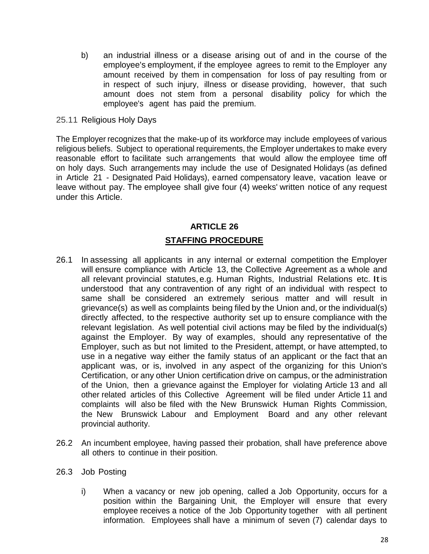- b) an industrial illness or a disease arising out of and in the course of the employee's employment, if the employee agrees to remit to the Employer any amount received by them in compensation for loss of pay resulting from or in respect of such injury, illness or disease providing, however, that such amount does not stem from a personal disability policy for which the employee's agent has paid the premium.
- 25.11 Religious Holy Days

The Employer recognizes that the make-up of its workforce may include employees of various religious beliefs. Subject to operational requirements, the Employer undertakes to make every reasonable effort to facilitate such arrangements that would allow the employee time off on holy days. Such arrangements may include the use of Designated Holidays (as defined in Article 21 - Designated Paid Holidays), earned compensatory leave, vacation leave or leave without pay. The employee shall give four (4) weeks' written notice of any request under this Article.

#### **ARTICLE 26**

#### **STAFFING PROCEDURE**

- 26.1 In assessing all applicants in any internal or external competition the Employer will ensure compliance with Article 13, the Collective Agreement as a whole and all relevant provincial statutes, e.g. Human Rights, Industrial Relations etc. Itis understood that any contravention of any right of an individual with respect to same shall be considered an extremely serious matter and will result in grievance(s) as well as complaints being filed by the Union and, or the individual(s) directly affected, to the respective authority set up to ensure compliance with the relevant legislation. As well potential civil actions may be filed by the individual(s) against the Employer. By way of examples, should any representative of the Employer, such as but not limited to the President, attempt, or have attempted, to use in a negative way either the family status of an applicant or the fact that an applicant was, or is, involved in any aspect of the organizing for this Union's Certification, or any other Union certification drive on campus, or the administration of the Union, then a grievance against the Employer for violating Article 13 and all other related articles of this Collective Agreement will be filed under Article 11 and complaints will also be filed with the New Brunswick Human Rights Commission, the New Brunswick Labour and Employment Board and any other relevant provincial authority.
- 26.2 An incumbent employee, having passed their probation, shall have preference above all others to continue in their position.
- 26.3 Job Posting
	- i) When a vacancy or new job opening, called a Job Opportunity, occurs for a position within the Bargaining Unit, the Employer will ensure that every employee receives a notice of the Job Opportunity together with all pertinent information. Employees shall have a minimum of seven (7) calendar days to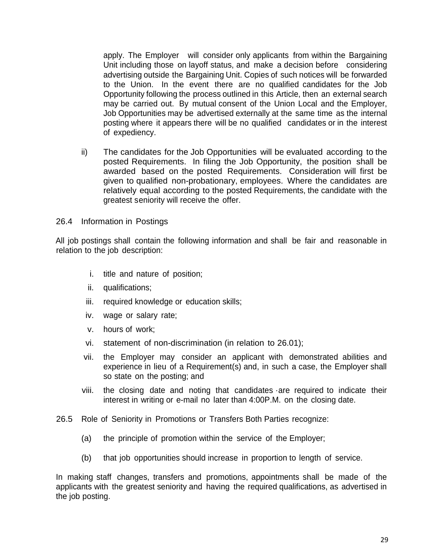apply. The Employer will consider only applicants from within the Bargaining Unit including those on layoff status, and make a decision before considering advertising outside the Bargaining Unit. Copies of such notices will be forwarded to the Union. In the event there are no qualified candidates for the Job Opportunity following the process outlined in this Article, then an external search may be carried out. By mutual consent of the Union Local and the Employer, Job Opportunities may be advertised externally at the same time as the internal posting where it appears there will be no qualified candidates or in the interest of expediency.

ii) The candidates for the Job Opportunities will be evaluated according to the posted Requirements. In filing the Job Opportunity, the position shall be awarded based on the posted Requirements. Consideration will first be given to qualified non-probationary, employees. Where the candidates are relatively equal according to the posted Requirements, the candidate with the greatest seniority will receive the offer.

#### 26.4 Information in Postings

All job postings shall contain the following information and shall be fair and reasonable in relation to the job description:

- i. title and nature of position;
- ii. qualifications;
- iii. required knowledge or education skills;
- iv. wage or salary rate;
- v. hours of work;
- vi. statement of non-discrimination (in relation to 26.01);
- vii. the Employer may consider an applicant with demonstrated abilities and experience in lieu of a Requirement(s) and, in such a case, the Employer shall so state on the posting; and
- viii. the closing date and noting that candidates ·are required to indicate their interest in writing or e-mail no later than 4:00P.M. on the closing date.
- 26.5 Role of Seniority in Promotions or Transfers Both Parties recognize:
	- (a) the principle of promotion within the service of the Employer;
	- (b) that job opportunities should increase in proportion to length of service.

In making staff changes, transfers and promotions, appointments shall be made of the applicants with the greatest seniority and having the required qualifications, as advertised in the job posting.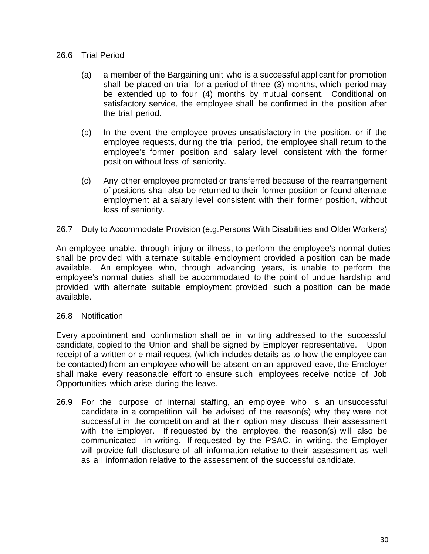#### 26.6 Trial Period

- (a) a member of the Bargaining unit who is a successful applicant for promotion shall be placed on trial for a period of three (3) months, which period may be extended up to four (4) months by mutual consent. Conditional on satisfactory service, the employee shall be confirmed in the position after the trial period.
- (b) In the event the employee proves unsatisfactory in the position, or if the employee requests, during the trial period, the employee shall return to the employee's former position and salary level consistent with the former position without loss of seniority.
- (c) Any other employee promoted or transferred because of the rearrangement of positions shall also be returned to their former position or found alternate employment at a salary level consistent with their former position, without loss of seniority.
- 26.7 Duty to Accommodate Provision (e.g.Persons With Disabilities and Older Workers)

An employee unable, through injury or illness, to perform the employee's normal duties shall be provided with alternate suitable employment provided a position can be made available. An employee who, through advancing years, is unable to perform the employee's normal duties shall be accommodated to the point of undue hardship and provided with alternate suitable employment provided such a position can be made available.

#### 26.8 Notification

Every appointment and confirmation shall be in writing addressed to the successful candidate, copied to the Union and shall be signed by Employer representative. Upon receipt of a written or e-mail request (which includes details as to how the employee can be contacted) from an employee who will be absent on an approved leave, the Employer shall make every reasonable effort to ensure such employees receive notice of Job Opportunities which arise during the leave.

26.9 For the purpose of internal staffing, an employee who is an unsuccessful candidate in a competition will be advised of the reason(s) why they were not successful in the competition and at their option may discuss their assessment with the Employer. If requested by the employee, the reason(s) will also be communicated in writing. If requested by the PSAC, in writing, the Employer will provide full disclosure of all information relative to their assessment as well as all information relative to the assessment of the successful candidate.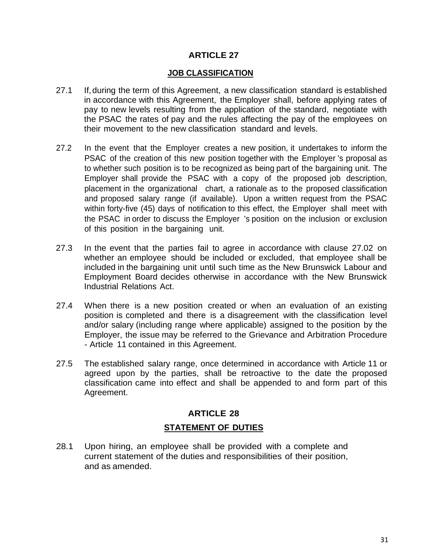#### **JOB CLASSIFICATION**

- 27.1 If,during the term of this Agreement, a new classification standard is established in accordance with this Agreement, the Employer shall, before applying rates of pay to new levels resulting from the application of the standard, negotiate with the PSAC the rates of pay and the rules affecting the pay of the employees on their movement to the new classification standard and levels.
- 27.2 In the event that the Employer creates a new position, it undertakes to inform the PSAC of the creation of this new position together with the Employer 's proposal as to whether such position is to be recognized as being part of the bargaining unit. The Employer shall provide the PSAC with a copy of the proposed job description, placement in the organizational chart, a rationale as to the proposed classification and proposed salary range (if available). Upon a written request from the PSAC within forty-five (45) days of notification to this effect, the Employer shall meet with the PSAC in order to discuss the Employer 's position on the inclusion or exclusion of this position in the bargaining unit.
- 27.3 In the event that the parties fail to agree in accordance with clause 27.02 on whether an employee should be included or excluded, that employee shall be included in the bargaining unit until such time as the New Brunswick Labour and Employment Board decides otherwise in accordance with the New Brunswick Industrial Relations Act.
- 27.4 When there is a new position created or when an evaluation of an existing position is completed and there is a disagreement with the classification level and/or salary (including range where applicable) assigned to the position by the Employer, the issue may be referred to the Grievance and Arbitration Procedure - Article 11 contained in this Agreement.
- 27.5 The established salary range, once determined in accordance with Article 11 or agreed upon by the parties, shall be retroactive to the date the proposed classification came into effect and shall be appended to and form part of this Agreement.

## **ARTICLE 28 STATEMENT OF DUTIES**

28.1 Upon hiring, an employee shall be provided with a complete and current statement of the duties and responsibilities of their position, and as amended.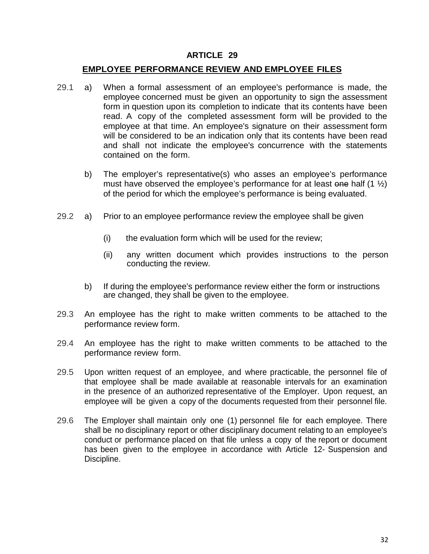#### **EMPLOYEE PERFORMANCE REVIEW AND EMPLOYEE FILES**

- 29.1 a) When a formal assessment of an employee's performance is made, the employee concerned must be given an opportunity to sign the assessment form in question upon its completion to indicate that its contents have been read. A copy of the completed assessment form will be provided to the employee at that time. An employee's signature on their assessment form will be considered to be an indication only that its contents have been read and shall not indicate the employee's concurrence with the statements contained on the form.
	- b) The employer's representative(s) who asses an employee's performance must have observed the employee's performance for at least one half  $(1 \frac{1}{2})$ of the period for which the employee's performance is being evaluated.
- 29.2 a) Prior to an employee performance review the employee shall be given
	- (i) the evaluation form which will be used for the review;
	- (ii) any written document which provides instructions to the person conducting the review.
	- b) If during the employee's performance review either the form or instructions are changed, they shall be given to the employee.
- 29.3 An employee has the right to make written comments to be attached to the performance review form.
- 29.4 An employee has the right to make written comments to be attached to the performance review form.
- 29.5 Upon written request of an employee, and where practicable, the personnel file of that employee shall be made available at reasonable intervals for an examination in the presence of an authorized representative of the Employer. Upon request, an employee will be given a copy of the documents requested from their personnel file.
- 29.6 The Employer shall maintain only one (1) personnel file for each employee. There shall be no disciplinary report or other disciplinary document relating to an employee's conduct or performance placed on that file unless a copy of the report or document has been given to the employee in accordance with Article 12- Suspension and Discipline.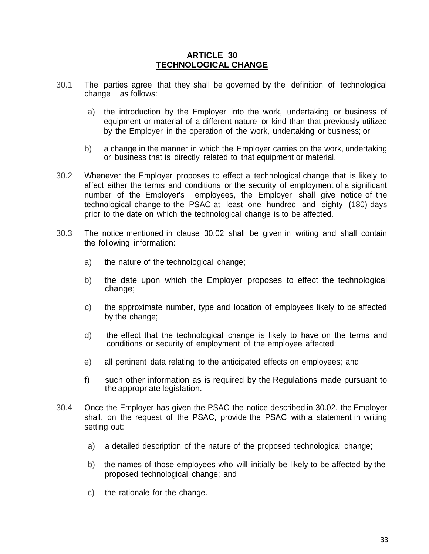#### **ARTICLE 30 TECHNOLOGICAL CHANGE**

- 30.1 The parties agree that they shall be governed by the definition of technological change as follows:
	- a) the introduction by the Employer into the work, undertaking or business of equipment or material of a different nature or kind than that previously utilized by the Employer in the operation of the work, undertaking or business; or
	- b) a change in the manner in which the Employer carries on the work, undertaking or business that is directly related to that equipment or material.
- 30.2 Whenever the Employer proposes to effect a technological change that is likely to affect either the terms and conditions or the security of employment of a significant number of the Employer's employees, the Employer shall give notice of the technological change to the PSAC at least one hundred and eighty (180) days prior to the date on which the technological change is to be affected.
- 30.3 The notice mentioned in clause 30.02 shall be given in writing and shall contain the following information:
	- a) the nature of the technological change;
	- b) the date upon which the Employer proposes to effect the technological change;
	- c) the approximate number, type and location of employees likely to be affected by the change;
	- d) the effect that the technological change is likely to have on the terms and conditions or security of employment of the employee affected;
	- e) all pertinent data relating to the anticipated effects on employees; and
	- f) such other information as is required by the Regulations made pursuant to the appropriate legislation.
- 30.4 Once the Employer has given the PSAC the notice described in 30.02, the Employer shall, on the request of the PSAC, provide the PSAC with a statement in writing setting out:
	- a) a detailed description of the nature of the proposed technological change;
	- b) the names of those employees who will initially be likely to be affected by the proposed technological change; and
	- c) the rationale for the change.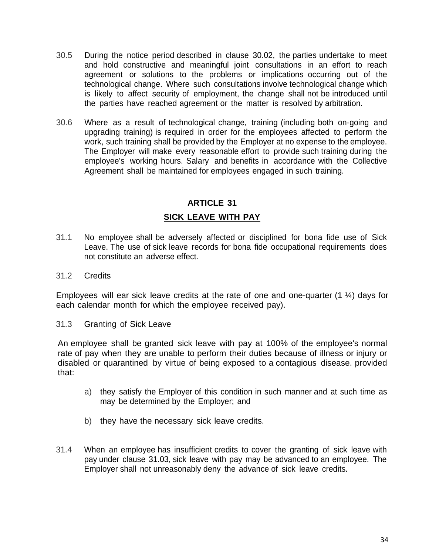- 30.5 During the notice period described in clause 30.02, the parties undertake to meet and hold constructive and meaningful joint consultations in an effort to reach agreement or solutions to the problems or implications occurring out of the technological change. Where such consultations involve technological change which is likely to affect security of employment, the change shall not be introduced until the parties have reached agreement or the matter is resolved by arbitration.
- 30.6 Where as a result of technological change, training (including both on-going and upgrading training) is required in order for the employees affected to perform the work, such training shall be provided by the Employer at no expense to the employee. The Employer will make every reasonable effort to provide such training during the employee's working hours. Salary and benefits in accordance with the Collective Agreement shall be maintained for employees engaged in such training.

#### **SICK LEAVE WITH PAY**

- 31.1 No employee shall be adversely affected or disciplined for bona fide use of Sick Leave. The use of sick leave records for bona fide occupational requirements does not constitute an adverse effect.
- 31.2 Credits

Employees will ear sick leave credits at the rate of one and one-quarter (1 ¼) days for each calendar month for which the employee received pay).

31.3 Granting of Sick Leave

An employee shall be granted sick leave with pay at 100% of the employee's normal rate of pay when they are unable to perform their duties because of illness or injury or disabled or quarantined by virtue of being exposed to a contagious disease. provided that:

- a) they satisfy the Employer of this condition in such manner and at such time as may be determined by the Employer; and
- b) they have the necessary sick leave credits.
- 31.4 When an employee has insufficient credits to cover the granting of sick leave with pay under clause 31.03, sick leave with pay may be advanced to an employee. The Employer shall not unreasonably deny the advance of sick leave credits.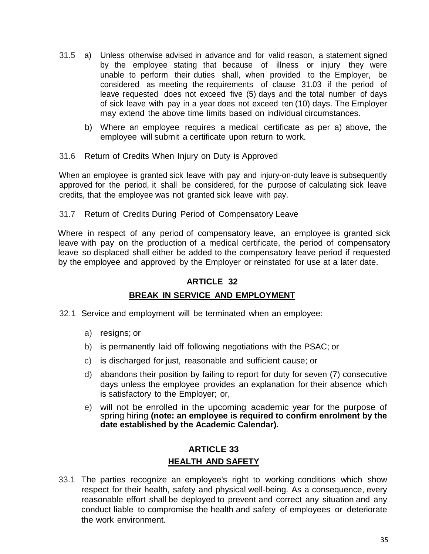- 31.5 a) Unless otherwise advised in advance and for valid reason, a statement signed by the employee stating that because of illness or injury they were unable to perform their duties shall, when provided to the Employer, be considered as meeting the requirements of clause 31.03 if the period of leave requested does not exceed five (5) days and the total number of days of sick leave with pay in a year does not exceed ten (10) days. The Employer may extend the above time limits based on individual circumstances.
	- b) Where an employee requires a medical certificate as per a) above, the employee will submit a certificate upon return to work.
- 31.6 Return of Credits When Injury on Duty is Approved

When an employee is granted sick leave with pay and injury-on-duty leave is subsequently approved for the period, it shall be considered, for the purpose of calculating sick leave credits, that the employee was not granted sick leave with pay.

31.7 Return of Credits During Period of Compensatory Leave

Where in respect of any period of compensatory leave, an employee is granted sick leave with pay on the production of a medical certificate, the period of compensatory leave so displaced shall either be added to the compensatory leave period if requested by the employee and approved by the Employer or reinstated for use at a later date.

## **ARTICLE 32**

## **BREAK IN SERVICE AND EMPLOYMENT**

- 32.1 Service and employment will be terminated when an employee:
	- a) resigns; or
	- b) is permanently laid off following negotiations with the PSAC; or
	- c) is discharged for just, reasonable and sufficient cause; or
	- d) abandons their position by failing to report for duty for seven (7) consecutive days unless the employee provides an explanation for their absence which is satisfactory to the Employer; or,
	- e) will not be enrolled in the upcoming academic year for the purpose of spring hiring **(note: an employee is required to confirm enrolment by the date established by the Academic Calendar).**

## **ARTICLE 33 HEALTH AND SAFETY**

33.1 The parties recognize an employee's right to working conditions which show respect for their health, safety and physical well-being. As a consequence, every reasonable effort shall be deployed to prevent and correct any situation and any conduct liable to compromise the health and safety of employees or deteriorate the work environment.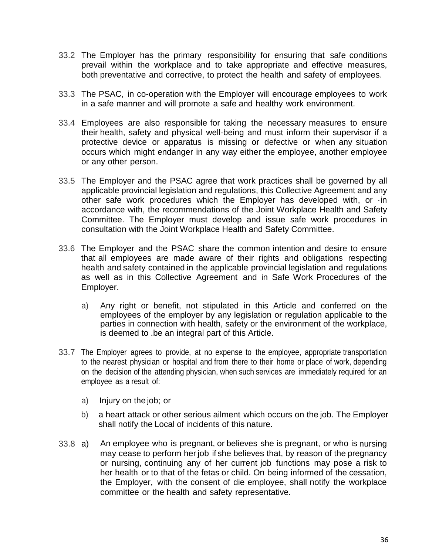- 33.2 The Employer has the primary responsibility for ensuring that safe conditions prevail within the workplace and to take appropriate and effective measures, both preventative and corrective, to protect the health and safety of employees.
- 33.3 The PSAC, in co-operation with the Employer will encourage employees to work in a safe manner and will promote a safe and healthy work environment.
- 33.4 Employees are also responsible for taking the necessary measures to ensure their health, safety and physical well-being and must inform their supervisor if a protective device or apparatus is missing or defective or when any situation occurs which might endanger in any way either the employee, another employee or any other person.
- 33.5 The Employer and the PSAC agree that work practices shall be governed by all applicable provincial legislation and regulations, this Collective Agreement and any other safe work procedures which the Employer has developed with, or ·in accordance with, the recommendations of the Joint Workplace Health and Safety Committee. The Employer must develop and issue safe work procedures in consultation with the Joint Workplace Health and Safety Committee.
- 33.6 The Employer and the PSAC share the common intention and desire to ensure that all employees are made aware of their rights and obligations respecting health and safety contained in the applicable provincial legislation and regulations as well as in this Collective Agreement and in Safe Work Procedures of the Employer.
	- a) Any right or benefit, not stipulated in this Article and conferred on the employees of the employer by any legislation or regulation applicable to the parties in connection with health, safety or the environment of the workplace, is deemed to .be an integral part of this Article.
- 33.7 The Employer agrees to provide, at no expense to the employee, appropriate transportation to the nearest physician or hospital and from there to their home or place of work, depending on the decision of the attending physician, when such services are immediately required for an employee as a result of:
	- a) Injury on the job; or
	- b) a heart attack or other serious ailment which occurs on the job. The Employer shall notify the Local of incidents of this nature.
- 33.8 a) An employee who is pregnant, or believes she is pregnant, or who is nursing may cease to perform her job if she believes that, by reason of the pregnancy or nursing, continuing any of her current job functions may pose a risk to her health or to that of the fetas or child. On being informed of the cessation, the Employer, with the consent of die employee, shall notify the workplace committee or the health and safety representative.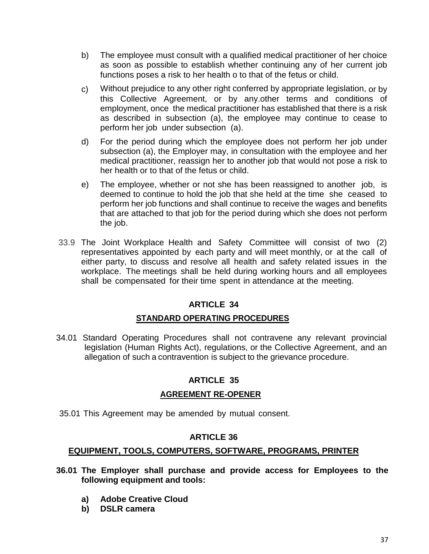- b) The employee must consult with a qualified medical practitioner of her choice as soon as possible to establish whether continuing any of her current job functions poses a risk to her health o to that of the fetus or child.
- c) Without prejudice to any other right conferred by appropriate legislation, or by this Collective Agreement, or by any.other terms and conditions of employment, once the medical practitioner has established that there is a risk as described in subsection (a), the employee may continue to cease to perform her job under subsection (a).
- d) For the period during which the employee does not perform her job under subsection (a), the Employer may, in consultation with the employee and her medical practitioner, reassign her to another job that would not pose a risk to her health or to that of the fetus or child.
- e) The employee, whether or not she has been reassigned to another job, is deemed to continue to hold the job that she held at the time she ceased to perform her job functions and shall continue to receive the wages and benefits that are attached to that job for the period during which she does not perform the job.
- 33.9 The Joint Workplace Health and Safety Committee will consist of two (2) representatives appointed by each party and will meet monthly, or at the call of either party, to discuss and resolve all health and safety related issues in the workplace. The meetings shall be held during working hours and all employees shall be compensated for their time spent in attendance at the meeting.

## **STANDARD OPERATING PROCEDURES**

34.01 Standard Operating Procedures shall not contravene any relevant provincial legislation (Human Rights Act), regulations, or the Collective Agreement, and an allegation of such a contravention is subject to the grievance procedure.

## **ARTICLE 35**

## **AGREEMENT RE-OPENER**

35.01 This Agreement may be amended by mutual consent.

#### **ARTICLE 36**

## **EQUIPMENT, TOOLS, COMPUTERS, SOFTWARE, PROGRAMS, PRINTER**

- **36.01 The Employer shall purchase and provide access for Employees to the following equipment and tools:**
	- **a) Adobe Creative Cloud**
	- **b) DSLR camera**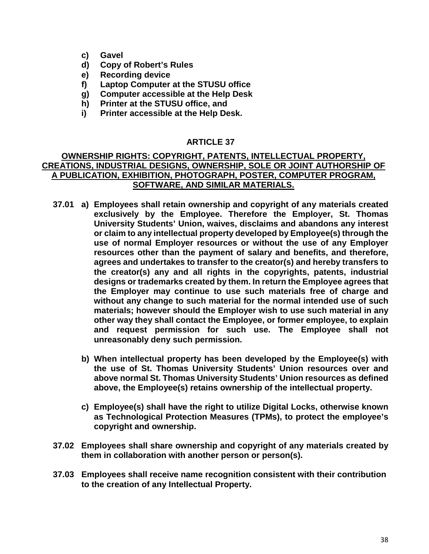- **c) Gavel**
- **d) Copy of Robert's Rules**
- **e) Recording device**
- **f) Laptop Computer at the STUSU office**
- **g) Computer accessible at the Help Desk**
- **h) Printer at the STUSU office, and**
- **i) Printer accessible at the Help Desk.**

#### **OWNERSHIP RIGHTS: COPYRIGHT, PATENTS, INTELLECTUAL PROPERTY, CREATIONS, INDUSTRIAL DESIGNS, OWNERSHIP, SOLE OR JOINT AUTHORSHIP OF A PUBLICATION, EXHIBITION, PHOTOGRAPH, POSTER, COMPUTER PROGRAM, SOFTWARE, AND SIMILAR MATERIALS.**

- **37.01 a) Employees shall retain ownership and copyright of any materials created exclusively by the Employee. Therefore the Employer, St. Thomas University Students' Union, waives, disclaims and abandons any interest or claim to any intellectual property developed by Employee(s) through the use of normal Employer resources or without the use of any Employer resources other than the payment of salary and benefits, and therefore, agrees and undertakes to transfer to the creator(s) and hereby transfers to the creator(s) any and all rights in the copyrights, patents, industrial designs or trademarks created by them. In return the Employee agrees that the Employer may continue to use such materials free of charge and without any change to such material for the normal intended use of such materials; however should the Employer wish to use such material in any other way they shall contact the Employee, or former employee, to explain and request permission for such use. The Employee shall not unreasonably deny such permission.**
	- **b) When intellectual property has been developed by the Employee(s) with the use of St. Thomas University Students' Union resources over and above normal St. Thomas University Students' Union resources as defined above, the Employee(s) retains ownership of the intellectual property.**
	- **c) Employee(s) shall have the right to utilize Digital Locks, otherwise known as Technological Protection Measures (TPMs), to protect the employee's copyright and ownership.**
- **37.02 Employees shall share ownership and copyright of any materials created by them in collaboration with another person or person(s).**
- **37.03 Employees shall receive name recognition consistent with their contribution to the creation of any Intellectual Property.**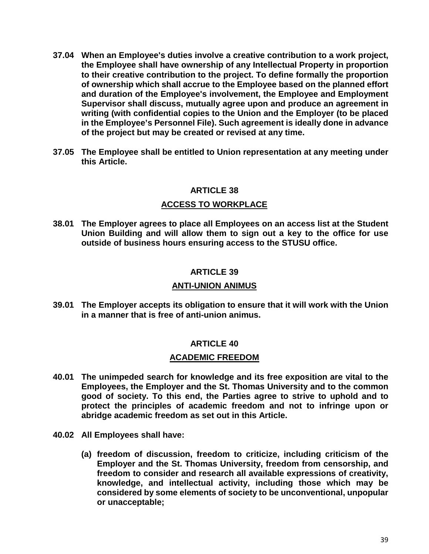- **37.04 When an Employee's duties involve a creative contribution to a work project, the Employee shall have ownership of any Intellectual Property in proportion to their creative contribution to the project. To define formally the proportion of ownership which shall accrue to the Employee based on the planned effort and duration of the Employee's involvement, the Employee and Employment Supervisor shall discuss, mutually agree upon and produce an agreement in writing (with confidential copies to the Union and the Employer (to be placed in the Employee's Personnel File). Such agreement is ideally done in advance of the project but may be created or revised at any time.**
- **37.05 The Employee shall be entitled to Union representation at any meeting under this Article.**

#### **ACCESS TO WORKPLACE**

**38.01 The Employer agrees to place all Employees on an access list at the Student Union Building and will allow them to sign out a key to the office for use outside of business hours ensuring access to the STUSU office.**

#### **ARTICLE 39**

#### **ANTI-UNION ANIMUS**

**39.01 The Employer accepts its obligation to ensure that it will work with the Union in a manner that is free of anti-union animus.**

#### **ARTICLE 40**

#### **ACADEMIC FREEDOM**

- **40.01 The unimpeded search for knowledge and its free exposition are vital to the Employees, the Employer and the St. Thomas University and to the common good of society. To this end, the Parties agree to strive to uphold and to protect the principles of academic freedom and not to infringe upon or abridge academic freedom as set out in this Article.**
- **40.02 All Employees shall have:** 
	- **(a) freedom of discussion, freedom to criticize, including criticism of the Employer and the St. Thomas University, freedom from censorship, and freedom to consider and research all available expressions of creativity, knowledge, and intellectual activity, including those which may be considered by some elements of society to be unconventional, unpopular or unacceptable;**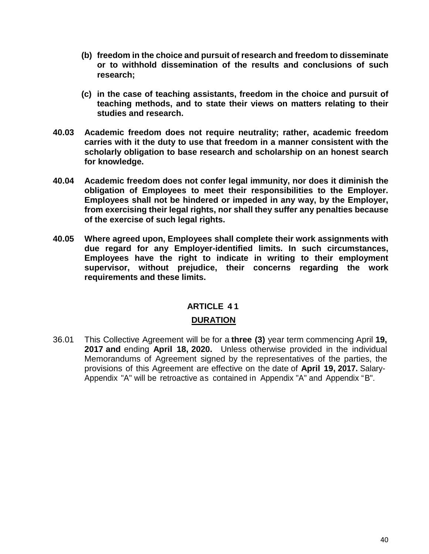- **(b) freedom in the choice and pursuit of research and freedom to disseminate or to withhold dissemination of the results and conclusions of such research;**
- **(c) in the case of teaching assistants, freedom in the choice and pursuit of teaching methods, and to state their views on matters relating to their studies and research.**
- **40.03 Academic freedom does not require neutrality; rather, academic freedom carries with it the duty to use that freedom in a manner consistent with the scholarly obligation to base research and scholarship on an honest search for knowledge.**
- **40.04 Academic freedom does not confer legal immunity, nor does it diminish the obligation of Employees to meet their responsibilities to the Employer. Employees shall not be hindered or impeded in any way, by the Employer, from exercising their legal rights, nor shall they suffer any penalties because of the exercise of such legal rights.**
- **40.05 Where agreed upon, Employees shall complete their work assignments with due regard for any Employer-identified limits. In such circumstances, Employees have the right to indicate in writing to their employment supervisor, without prejudice, their concerns regarding the work requirements and these limits.**

#### **ARTICLE 4 1**

#### **DURATION**

36.01 This Collective Agreement will be for a **three (3)** year term commencing April **19, 2017 and** ending **April 18, 2020.** Unless otherwise provided in the individual Memorandums of Agreement signed by the representatives of the parties, the provisions of this Agreement are effective on the date of **April 19, 2017.** Salary-Appendix "A" will be retroactive as contained in Appendix "A" and Appendix "B".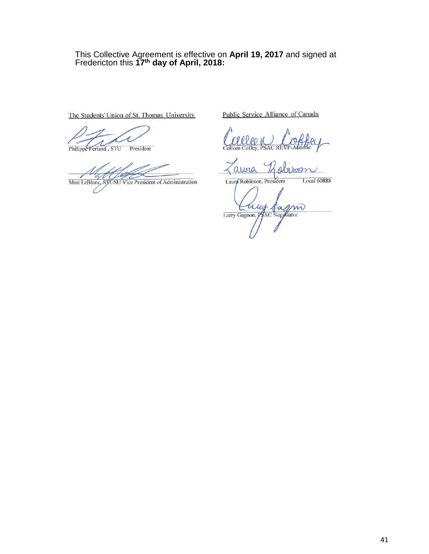#### This Collective Agreement is effective on **April 19, 2017** and signed at Fredericton this **17th day of April, 2018:**

The Students' Union of St. Thomas University

Philippe Ferland, STU President

 $\scriptstyle\prime$ Matt LeBlanc, STOSU Vice President of Administration

Public Service Alliance of Canada

 $\alpha$ 

Local 60888 Laura Robinson, President

m  $\alpha$ Larry Gagnon, AC Negotiator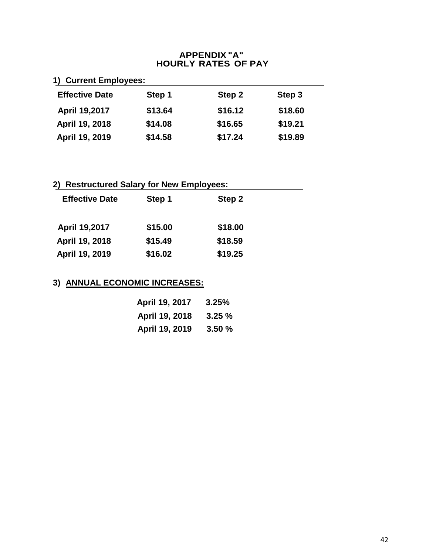#### **APPENDIX "A" HOURLY RATES OF PAY**

| 1) Current Employees: |  |
|-----------------------|--|
|-----------------------|--|

| <b>Effective Date</b> | Step 1  | Step 2  | Step 3  |
|-----------------------|---------|---------|---------|
| <b>April 19,2017</b>  | \$13.64 | \$16.12 | \$18.60 |
| April 19, 2018        | \$14.08 | \$16.65 | \$19.21 |
| April 19, 2019        | \$14.58 | \$17.24 | \$19.89 |

# **2) Restructured Salary for New Employees:**

| <b>Effective Date</b> | Step 1  | Step 2  |
|-----------------------|---------|---------|
| <b>April 19,2017</b>  | \$15.00 | \$18.00 |
| April 19, 2018        | \$15.49 | \$18.59 |
| April 19, 2019        | \$16.02 | \$19.25 |

## **3) ANNUAL ECONOMIC INCREASES:**

| April 19, 2017 | 3.25%  |
|----------------|--------|
| April 19, 2018 | 3.25%  |
| April 19, 2019 | 3.50 % |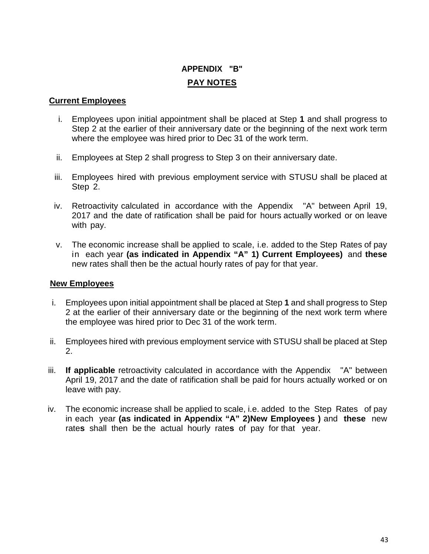# **APPENDIX "B" PAY NOTES**

#### **Current Employees**

- i. Employees upon initial appointment shall be placed at Step **1** and shall progress to Step 2 at the earlier of their anniversary date or the beginning of the next work term where the employee was hired prior to Dec 31 of the work term.
- ii. Employees at Step 2 shall progress to Step 3 on their anniversary date.
- iii. Employees hired with previous employment service with STUSU shall be placed at Step 2.
- iv. Retroactivity calculated in accordance with the Appendix "A" between April 19, 2017 and the date of ratification shall be paid for hours actually worked or on leave with pay.
- v. The economic increase shall be applied to scale, i.e. added to the Step Rates of pay in each year **(as indicated in Appendix "A" 1) Current Employees)** and **these** new rates shall then be the actual hourly rates of pay for that year.

#### **New Employees**

- i. Employees upon initial appointment shall be placed at Step **1** and shall progress to Step 2 at the earlier of their anniversary date or the beginning of the next work term where the employee was hired prior to Dec 31 of the work term.
- ii. Employees hired with previous employment service with STUSU shall be placed at Step 2.
- iii. **If applicable** retroactivity calculated in accordance with the Appendix "A" between April 19, 2017 and the date of ratification shall be paid for hours actually worked or on leave with pay.
- iv. The economic increase shall be applied to scale, i.e. added to the Step Rates of pay in each year **(as indicated in Appendix "A" 2)New Employees )** and **these** new rate**s** shall then be the actual hourly rate**s** of pay for that year.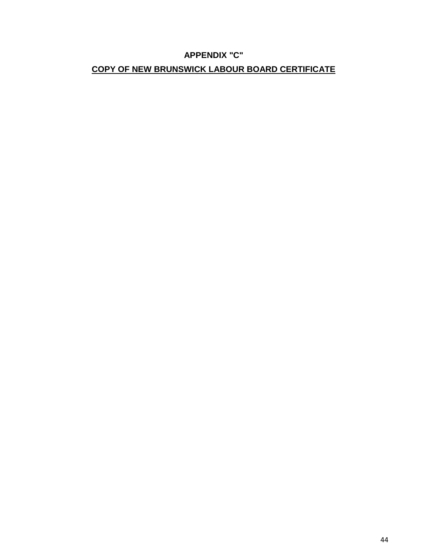## **APPENDIX "C" COPY OF NEW BRUNSWICK LABOUR BOARD CERTIFICATE**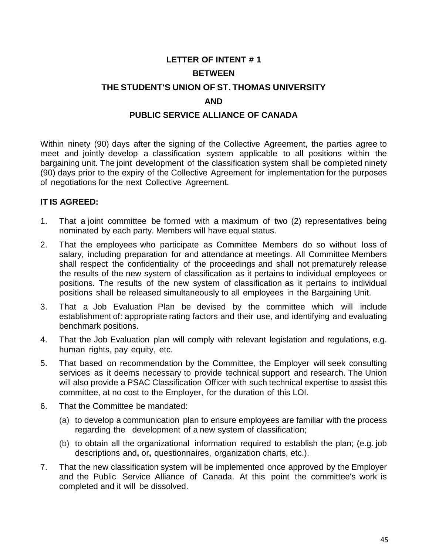# **LETTER OF INTENT # 1 BETWEEN THE STUDENT'S UNION OF ST. THOMAS UNIVERSITY AND PUBLIC SERVICE ALLIANCE OF CANADA**

Within ninety (90) days after the signing of the Collective Agreement, the parties agree to meet and jointly develop a classification system applicable to all positions within the bargaining unit. The joint development of the classification system shall be completed ninety (90) days prior to the expiry of the Collective Agreement for implementation for the purposes of negotiations for the next Collective Agreement.

#### **IT IS AGREED:**

- 1. That a joint committee be formed with a maximum of two (2) representatives being nominated by each party. Members will have equal status.
- 2. That the employees who participate as Committee Members do so without loss of salary, including preparation for and attendance at meetings. All Committee Members shall respect the confidentiality of the proceedings and shall not prematurely release the results of the new system of classification as it pertains to individual employees or positions. The results of the new system of classification as it pertains to individual positions shall be released simultaneously to all employees in the Bargaining Unit.
- 3. That a Job Evaluation Plan be devised by the committee which will include establishment of: appropriate rating factors and their use, and identifying and evaluating benchmark positions.
- 4. That the Job Evaluation plan will comply with relevant legislation and regulations, e.g. human rights, pay equity, etc.
- 5. That based on recommendation by the Committee, the Employer will seek consulting services as it deems necessary to provide technical support and research. The Union will also provide a PSAC Classification Officer with such technical expertise to assist this committee, at no cost to the Employer, for the duration of this LOI.
- 6. That the Committee be mandated:
	- (a) to develop a communication plan to ensure employees are familiar with the process regarding the development of a new system of classification;
	- (b) to obtain all the organizational information required to establish the plan; (e.g. job descriptions and**,** or**,** questionnaires, organization charts, etc.).
- 7. That the new classification system will be implemented once approved by the Employer and the Public Service Alliance of Canada. At this point the committee's work is completed and it will be dissolved.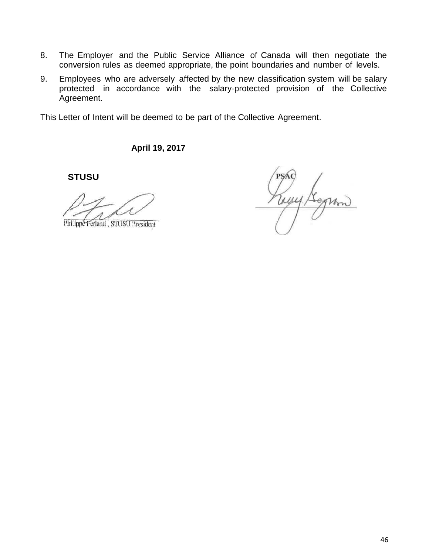- 8. The Employer and the Public Service Alliance of Canada will then negotiate the conversion rules as deemed appropriate, the point boundaries and number of levels.
- 9. Employees who are adversely affected by the new classification system will be salary protected in accordance with the salary-protected provision of the Collective Agreement.

This Letter of Intent will be deemed to be part of the Collective Agreement.

**April 19, 2017**

Philippe Ferland, STUSU President

Tour,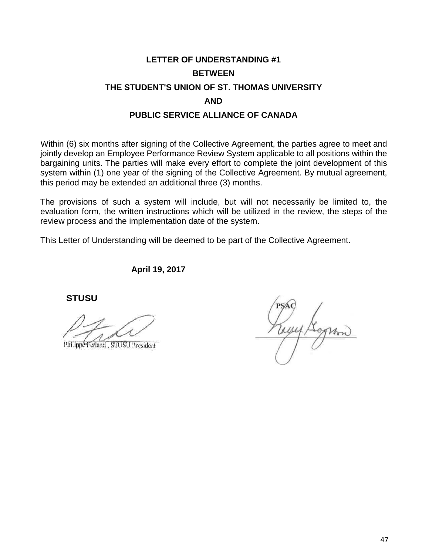# **LETTER OF UNDERSTANDING #1 BETWEEN THE STUDENT'S UNION OF ST. THOMAS UNIVERSITY AND PUBLIC SERVICE ALLIANCE OF CANADA**

Within (6) six months after signing of the Collective Agreement, the parties agree to meet and jointly develop an Employee Performance Review System applicable to all positions within the bargaining units. The parties will make every effort to complete the joint development of this system within (1) one year of the signing of the Collective Agreement. By mutual agreement, this period may be extended an additional three (3) months.

The provisions of such a system will include, but will not necessarily be limited to, the evaluation form, the written instructions which will be utilized in the review, the steps of the review process and the implementation date of the system.

This Letter of Understanding will be deemed to be part of the Collective Agreement.

**April 19, 2017**

Philippe Ferland, STUSU President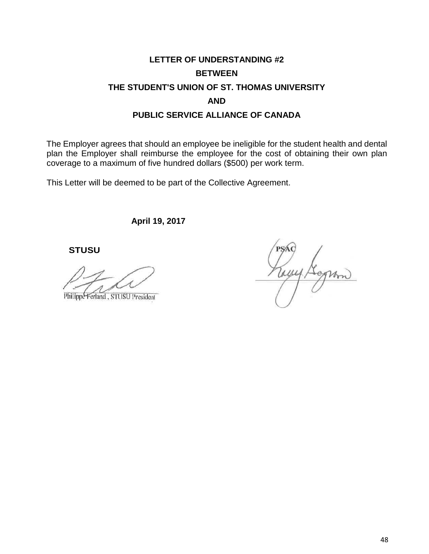# **LETTER OF UNDERSTANDING #2 BETWEEN THE STUDENT'S UNION OF ST. THOMAS UNIVERSITY AND PUBLIC SERVICE ALLIANCE OF CANADA**

The Employer agrees that should an employee be ineligible for the student health and dental plan the Employer shall reimburse the employee for the cost of obtaining their own plan coverage to a maximum of five hundred dollars (\$500) per work term.

This Letter will be deemed to be part of the Collective Agreement.

**April 19, 2017**

Philippe Ferland, STUSU President

NILLA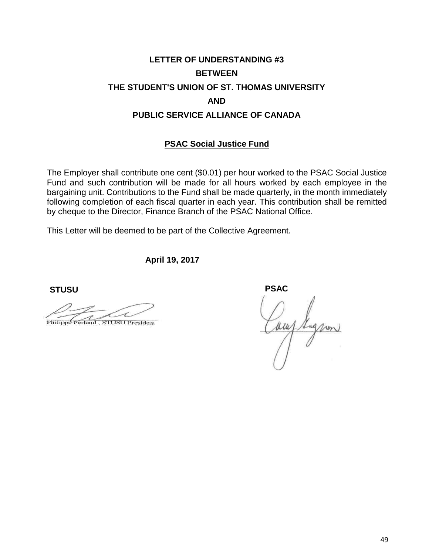# **LETTER OF UNDERSTANDING #3 BETWEEN THE STUDENT'S UNION OF ST. THOMAS UNIVERSITY AND PUBLIC SERVICE ALLIANCE OF CANADA**

## **PSAC Social Justice Fund**

The Employer shall contribute one cent (\$0.01) per hour worked to the PSAC Social Justice Fund and such contribution will be made for all hours worked by each employee in the bargaining unit. Contributions to the Fund shall be made quarterly, in the month immediately following completion of each fiscal quarter in each year. This contribution shall be remitted by cheque to the Director, Finance Branch of the PSAC National Office.

This Letter will be deemed to be part of the Collective Agreement.

**April 19, 2017**

 **STUSU PSAC**

Philippe Ferland, STUSU President

aur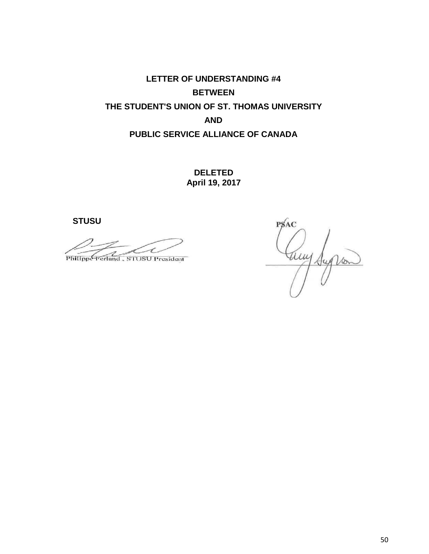**LETTER OF UNDERSTANDING #4 BETWEEN THE STUDENT'S UNION OF ST. THOMAS UNIVERSITY AND PUBLIC SERVICE ALLIANCE OF CANADA**

> **DELETED April 19, 2017**

Philippe Ferland, STUSU President

**PSAC**  $\mu$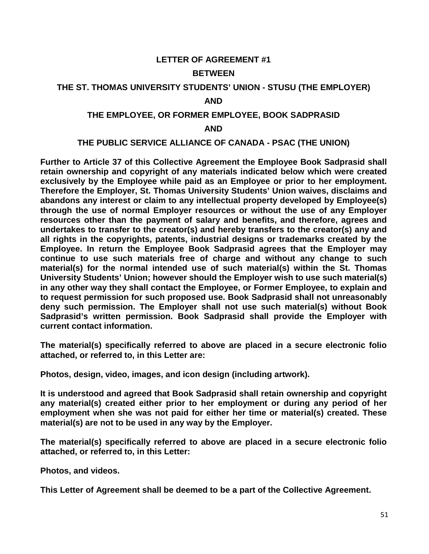## **LETTER OF AGREEMENT #1 BETWEEN**

## **THE ST. THOMAS UNIVERSITY STUDENTS' UNION - STUSU (THE EMPLOYER)**

#### **AND**

#### **THE EMPLOYEE, OR FORMER EMPLOYEE, BOOK SADPRASID**

#### **AND**

## **THE PUBLIC SERVICE ALLIANCE OF CANADA - PSAC (THE UNION)**

**Further to Article 37 of this Collective Agreement the Employee Book Sadprasid shall retain ownership and copyright of any materials indicated below which were created exclusively by the Employee while paid as an Employee or prior to her employment. Therefore the Employer, St. Thomas University Students' Union waives, disclaims and abandons any interest or claim to any intellectual property developed by Employee(s) through the use of normal Employer resources or without the use of any Employer resources other than the payment of salary and benefits, and therefore, agrees and undertakes to transfer to the creator(s) and hereby transfers to the creator(s) any and all rights in the copyrights, patents, industrial designs or trademarks created by the Employee. In return the Employee Book Sadprasid agrees that the Employer may continue to use such materials free of charge and without any change to such material(s) for the normal intended use of such material(s) within the St. Thomas University Students' Union; however should the Employer wish to use such material(s) in any other way they shall contact the Employee, or Former Employee, to explain and to request permission for such proposed use. Book Sadprasid shall not unreasonably deny such permission. The Employer shall not use such material(s) without Book Sadprasid's written permission. Book Sadprasid shall provide the Employer with current contact information.** 

**The material(s) specifically referred to above are placed in a secure electronic folio attached, or referred to, in this Letter are:**

**Photos, design, video, images, and icon design (including artwork).** 

**It is understood and agreed that Book Sadprasid shall retain ownership and copyright any material(s) created either prior to her employment or during any period of her employment when she was not paid for either her time or material(s) created. These material(s) are not to be used in any way by the Employer.** 

**The material(s) specifically referred to above are placed in a secure electronic folio attached, or referred to, in this Letter:** 

**Photos, and videos.** 

**This Letter of Agreement shall be deemed to be a part of the Collective Agreement.**